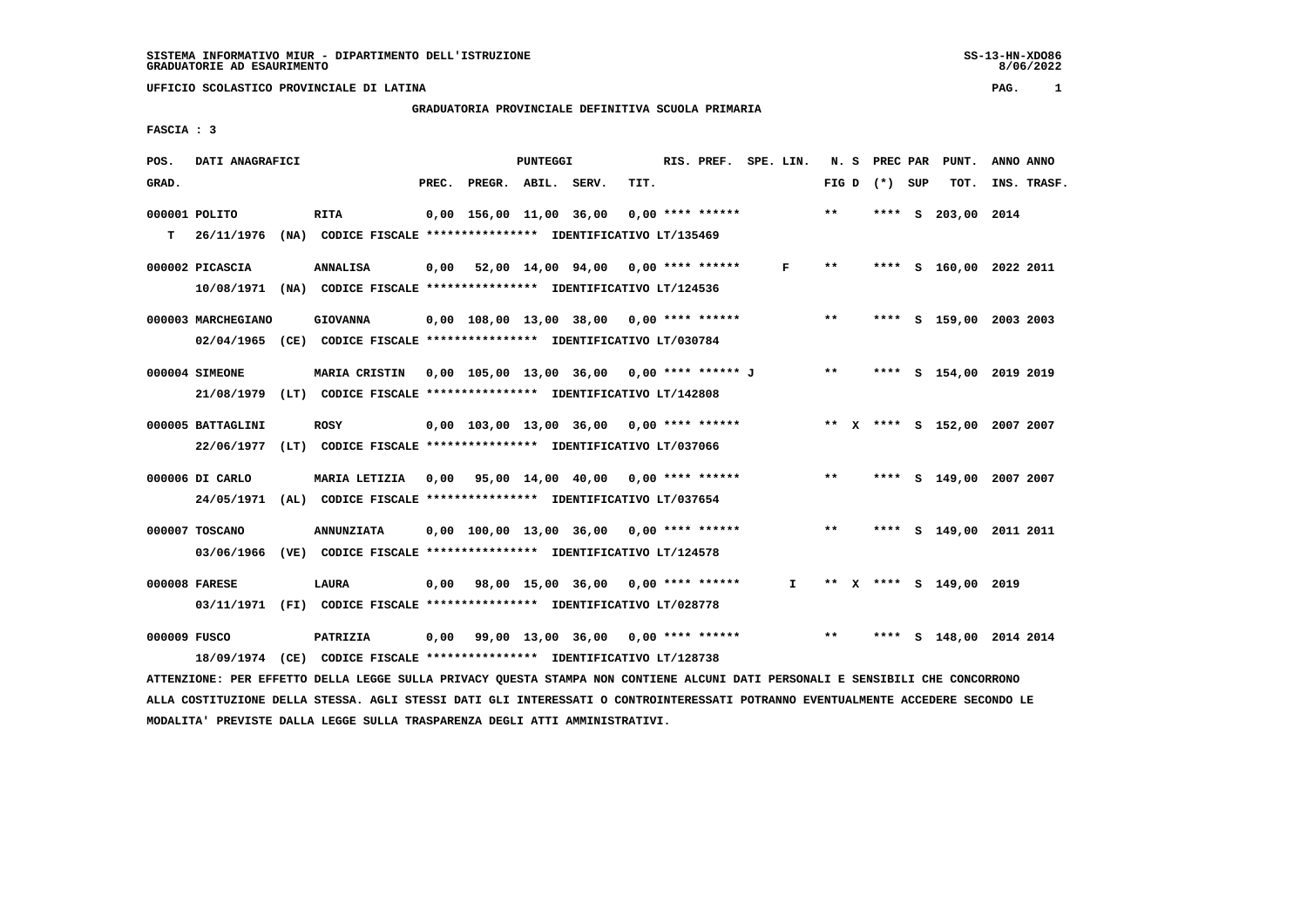# **GRADUATORIA PROVINCIALE DEFINITIVA SCUOLA PRIMARIA**

 **FASCIA : 3**

| POS.  | DATI ANAGRAFICI    |                                                                                                                               |                          | PUNTEGGI |                                            |      | RIS. PREF. SPE. LIN. |              |       |                 |   | N. S PREC PAR PUNT.     | ANNO ANNO                    |
|-------|--------------------|-------------------------------------------------------------------------------------------------------------------------------|--------------------------|----------|--------------------------------------------|------|----------------------|--------------|-------|-----------------|---|-------------------------|------------------------------|
| GRAD. |                    |                                                                                                                               | PREC. PREGR. ABIL. SERV. |          |                                            | TIT. |                      |              |       | FIG D $(*)$ SUP |   | TOT.                    | INS. TRASF.                  |
|       | 000001 POLITO      | <b>RITA</b>                                                                                                                   |                          |          | $0,00$ 156,00 11,00 36,00 0,00 **** ****** |      |                      |              | $***$ | ****            | s | 203,00 2014             |                              |
| т     | 26/11/1976         | (NA) CODICE FISCALE *************** IDENTIFICATIVO LT/135469                                                                  |                          |          |                                            |      |                      |              |       |                 |   |                         |                              |
|       | 000002 PICASCIA    | <b>ANNALISA</b>                                                                                                               |                          |          | $0,00$ 52,00 14,00 94,00 0,00 **** ******  |      |                      | F            | $***$ |                 |   |                         | **** S 160,00 2022 2011      |
|       |                    | 10/08/1971 (NA) CODICE FISCALE *************** IDENTIFICATIVO LT/124536                                                       |                          |          |                                            |      |                      |              |       |                 |   |                         |                              |
|       | 000003 MARCHEGIANO | <b>GIOVANNA</b>                                                                                                               |                          |          | $0,00$ 108,00 13,00 38,00 0,00 **** ****** |      |                      |              | $***$ |                 |   |                         | **** S 159,00 2003 2003      |
|       |                    | 02/04/1965 (CE) CODICE FISCALE *************** IDENTIFICATIVO LT/030784                                                       |                          |          |                                            |      |                      |              |       |                 |   |                         |                              |
|       |                    |                                                                                                                               |                          |          |                                            |      |                      |              |       |                 |   |                         |                              |
|       | 000004 SIMEONE     | <b>MARIA CRISTIN</b>                                                                                                          |                          |          | 0,00 105,00 13,00 36,00 0,00 **** ****** J |      |                      |              | $***$ |                 |   |                         | **** S 154,00 2019 2019      |
|       |                    | 21/08/1979 (LT) CODICE FISCALE *************** IDENTIFICATIVO LT/142808                                                       |                          |          |                                            |      |                      |              |       |                 |   |                         |                              |
|       | 000005 BATTAGLINI  | <b>ROSY</b>                                                                                                                   |                          |          | $0,00$ 103,00 13,00 36,00 0,00 **** ****** |      |                      |              |       |                 |   |                         | ** X **** S 152,00 2007 2007 |
|       |                    | 22/06/1977 (LT) CODICE FISCALE *************** IDENTIFICATIVO LT/037066                                                       |                          |          |                                            |      |                      |              |       |                 |   |                         |                              |
|       | 000006 DI CARLO    | MARIA LETIZIA                                                                                                                 |                          |          | 0,00 95,00 14,00 40,00 0,00 **** ******    |      |                      |              | $***$ |                 |   |                         | **** S 149,00 2007 2007      |
|       |                    | 24/05/1971 (AL) CODICE FISCALE *************** IDENTIFICATIVO LT/037654                                                       |                          |          |                                            |      |                      |              |       |                 |   |                         |                              |
|       |                    |                                                                                                                               |                          |          |                                            |      |                      |              |       |                 |   |                         |                              |
|       | 000007 TOSCANO     | <b>ANNUNZIATA</b>                                                                                                             |                          |          | $0,00$ 100,00 13,00 36,00 0,00 **** ****** |      |                      |              | $* *$ |                 |   |                         | **** S 149,00 2011 2011      |
|       | 03/06/1966         | (VE) CODICE FISCALE *************** IDENTIFICATIVO LT/124578                                                                  |                          |          |                                            |      |                      |              |       |                 |   |                         |                              |
|       | 000008 FARESE      | LAURA                                                                                                                         |                          |          | $0,00$ 98,00 15,00 36,00 0,00 **** ******  |      |                      | $\mathbf{I}$ |       |                 |   | ** X **** S 149,00 2019 |                              |
|       |                    | 03/11/1971 (FI) CODICE FISCALE *************** IDENTIFICATIVO LT/028778                                                       |                          |          |                                            |      |                      |              |       |                 |   |                         |                              |
|       | 000009 FUSCO       | PATRIZIA                                                                                                                      |                          |          | $0,00$ 99,00 13,00 36,00 0,00 **** ******  |      |                      |              | $***$ |                 |   |                         | **** S 148,00 2014 2014      |
|       |                    | 18/09/1974 (CE) CODICE FISCALE *************** IDENTIFICATIVO LT/128738                                                       |                          |          |                                            |      |                      |              |       |                 |   |                         |                              |
|       |                    | ATTENZIONE: PER EFFETTO DELLA LEGGE SULLA PRIVACY QUESTA STAMPA NON CONTIENE ALCUNI DATI PERSONALI E SENSIBILI CHE CONCORRONO |                          |          |                                            |      |                      |              |       |                 |   |                         |                              |

 **ALLA COSTITUZIONE DELLA STESSA. AGLI STESSI DATI GLI INTERESSATI O CONTROINTERESSATI POTRANNO EVENTUALMENTE ACCEDERE SECONDO LE MODALITA' PREVISTE DALLA LEGGE SULLA TRASPARENZA DEGLI ATTI AMMINISTRATIVI.**

SS-13-HN-XD086<br>8/06/2022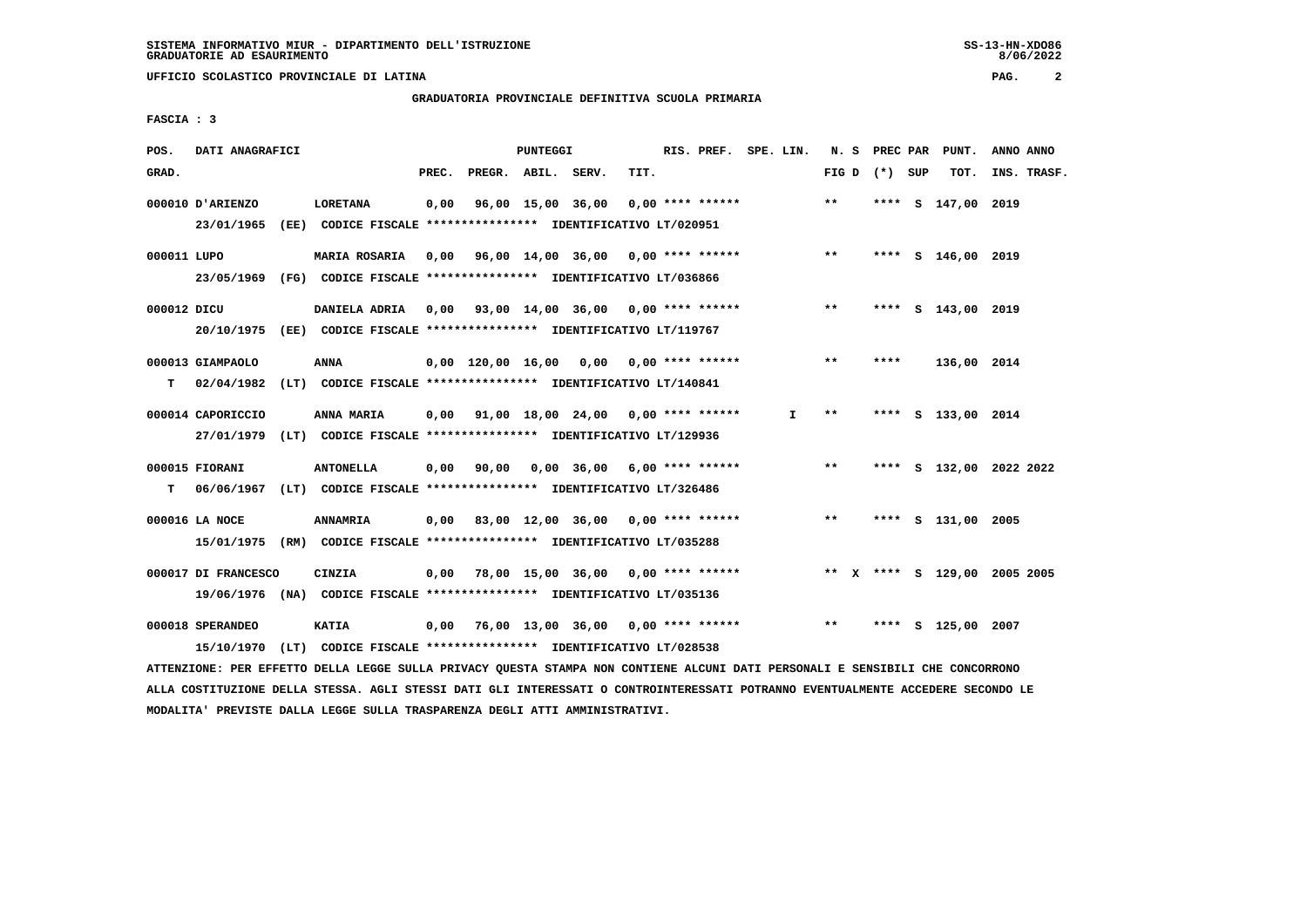#### **GRADUATORIA PROVINCIALE DEFINITIVA SCUOLA PRIMARIA**

 **FASCIA : 3**

| POS.        | DATI ANAGRAFICI                                                                                 |                                                                               |       |                    | PUNTEGGI |                                                         |      | RIS. PREF. SPE. LIN. |    |       |         | N. S PREC PAR PUNT. | ANNO ANNO                    |
|-------------|-------------------------------------------------------------------------------------------------|-------------------------------------------------------------------------------|-------|--------------------|----------|---------------------------------------------------------|------|----------------------|----|-------|---------|---------------------|------------------------------|
| GRAD.       |                                                                                                 |                                                                               | PREC. | PREGR. ABIL. SERV. |          |                                                         | TIT. |                      |    | FIG D | (*) SUP | TOT.                | INS. TRASF.                  |
|             | 000010 D'ARIENZO<br>23/01/1965                                                                  | LORETANA<br>(EE) CODICE FISCALE *************** IDENTIFICATIVO LT/020951      | 0,00  | 96,00 15,00 36,00  |          |                                                         |      | $0.00$ **** ******   |    | $***$ |         | **** S 147,00 2019  |                              |
| 000011 LUPO | 23/05/1969 (FG) CODICE FISCALE *************** IDENTIFICATIVO LT/036866                         | <b>MARIA ROSARIA</b>                                                          |       |                    |          | $0,00$ 96,00 14,00 36,00 0,00 **** ******               |      |                      |    | $***$ |         | **** S 146,00 2019  |                              |
| 000012 DICU | 20/10/1975 (EE) CODICE FISCALE *************** IDENTIFICATIVO LT/119767                         | DANIELA ADRIA                                                                 |       |                    |          | 0,00 93,00 14,00 36,00 0,00 **** ******                 |      |                      |    | **    |         | **** S 143,00 2019  |                              |
| T.          | 000013 GIAMPAOLO<br>02/04/1982 (LT) CODICE FISCALE **************** IDENTIFICATIVO LT/140841    | ANNA                                                                          |       |                    |          | $0.00$ 120.00 16.00 0.00 0.00 **** ******               |      |                      |    | $* *$ | ****    | 136,00 2014         |                              |
|             | 000014 CAPORICCIO<br>27/01/1979 (LT) CODICE FISCALE *************** IDENTIFICATIVO LT/129936    | ANNA MARIA                                                                    |       |                    |          | $0.00$ $91.00$ $18.00$ $24.00$ $0.00$ $***$ **** ****** |      |                      | I. | $***$ |         | **** S 133,00 2014  |                              |
| T.          | 000015 FIORANI<br>06/06/1967 (LT) CODICE FISCALE *************** IDENTIFICATIVO LT/326486       | <b>ANTONELLA</b>                                                              |       |                    |          | 0,00 90,00 0,00 36,00                                   |      | 6,00 **** ******     |    | $***$ |         |                     | **** S 132,00 2022 2022      |
|             | 000016 LA NOCE<br>15/01/1975 (RM) CODICE FISCALE **************** IDENTIFICATIVO LT/035288      | <b>ANNAMRIA</b>                                                               |       |                    |          | $0,00$ 83,00 12,00 36,00 0,00 **** ******               |      |                      |    | $***$ |         | **** S 131,00 2005  |                              |
|             | 000017 DI FRANCESCO<br>19/06/1976 (NA) CODICE FISCALE **************** IDENTIFICATIVO LT/035136 | CINZIA                                                                        |       |                    |          | $0,00$ 78,00 15,00 36,00 0,00 **** ******               |      |                      |    |       |         |                     | ** X **** S 129,00 2005 2005 |
|             | 000018 SPERANDEO<br>15/10/1970                                                                  | <b>KATIA</b><br>(LT) CODICE FISCALE **************** IDENTIFICATIVO LT/028538 |       |                    |          | $0.00$ 76.00 13.00 36.00 0.00 **** ******               |      |                      |    | **    | ****    | S 125,00 2007       |                              |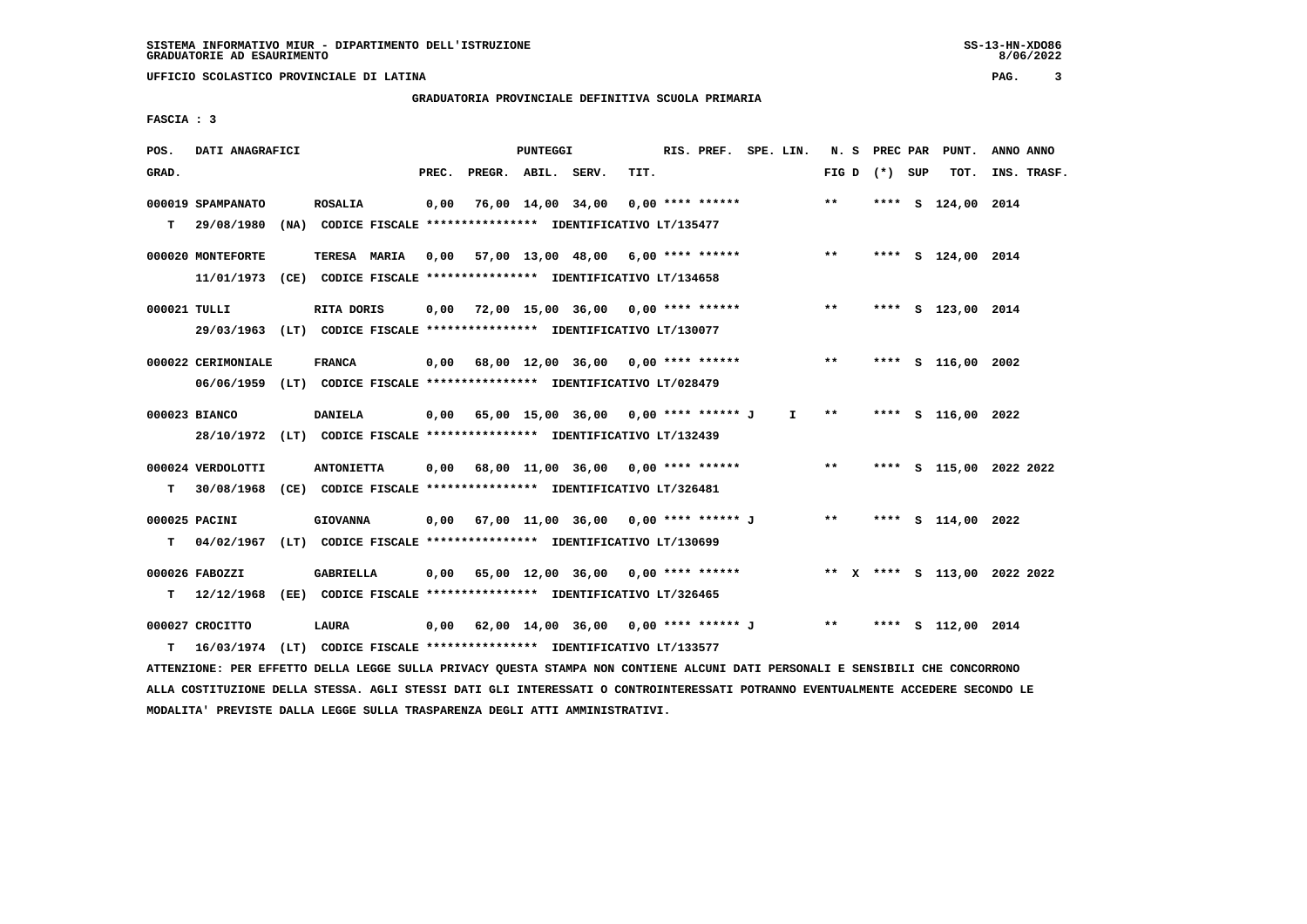# **GRADUATORIA PROVINCIALE DEFINITIVA SCUOLA PRIMARIA**

 **FASCIA : 3**

| POS.         | DATI ANAGRAFICI                                                                                                               |                   |       |                    | <b>PUNTEGGI</b> |                                                                          |      | RIS. PREF. SPE. LIN. |                               |       | N. S PREC PAR   | PUNT.                   | ANNO ANNO |             |
|--------------|-------------------------------------------------------------------------------------------------------------------------------|-------------------|-------|--------------------|-----------------|--------------------------------------------------------------------------|------|----------------------|-------------------------------|-------|-----------------|-------------------------|-----------|-------------|
| GRAD.        |                                                                                                                               |                   | PREC. | PREGR. ABIL. SERV. |                 |                                                                          | TIT. |                      |                               |       | FIG D $(*)$ SUP | тот.                    |           | INS. TRASF. |
|              | 000019 SPAMPANATO                                                                                                             | <b>ROSALIA</b>    |       |                    |                 | 0,00 76,00 14,00 34,00                                                   |      | $0,00$ **** ******   |                               | $* *$ |                 | **** S 124,00 2014      |           |             |
|              | T 29/08/1980 (NA) CODICE FISCALE **************** IDENTIFICATIVO LT/135477                                                    |                   |       |                    |                 |                                                                          |      |                      |                               |       |                 |                         |           |             |
|              |                                                                                                                               |                   |       |                    |                 |                                                                          |      |                      |                               |       |                 |                         |           |             |
|              | 000020 MONTEFORTE                                                                                                             | TERESA MARIA      |       |                    |                 | 0,00 57,00 13,00 48,00 6,00 **** ******                                  |      |                      |                               | $***$ |                 | **** S 124,00 2014      |           |             |
|              | 11/01/1973 (CE) CODICE FISCALE *************** IDENTIFICATIVO LT/134658                                                       |                   |       |                    |                 |                                                                          |      |                      |                               |       |                 |                         |           |             |
| 000021 TULLI |                                                                                                                               | RITA DORIS        |       |                    |                 | 0,00 72,00 15,00 36,00 0,00 **** ******                                  |      |                      |                               | $***$ |                 | **** S 123,00 2014      |           |             |
|              |                                                                                                                               |                   |       |                    |                 |                                                                          |      |                      |                               |       |                 |                         |           |             |
|              | 29/03/1963 (LT) CODICE FISCALE *************** IDENTIFICATIVO LT/130077                                                       |                   |       |                    |                 |                                                                          |      |                      |                               |       |                 |                         |           |             |
|              | 000022 CERIMONIALE                                                                                                            | <b>FRANCA</b>     |       |                    |                 | 0,00 68,00 12,00 36,00 0,00 **** ******                                  |      |                      |                               | $***$ |                 | **** S 116,00 2002      |           |             |
|              | 06/06/1959 (LT) CODICE FISCALE *************** IDENTIFICATIVO LT/028479                                                       |                   |       |                    |                 |                                                                          |      |                      |                               |       |                 |                         |           |             |
|              |                                                                                                                               |                   |       |                    |                 |                                                                          |      |                      |                               |       |                 |                         |           |             |
|              | 000023 BIANCO                                                                                                                 | <b>DANIELA</b>    |       |                    |                 | 0,00 65,00 15,00 36,00 0,00 **** ****** J                                |      |                      | $\mathbf{I}$ and $\mathbf{I}$ | $***$ |                 | **** S 116,00 2022      |           |             |
|              | 28/10/1972 (LT) CODICE FISCALE *************** IDENTIFICATIVO LT/132439                                                       |                   |       |                    |                 |                                                                          |      |                      |                               |       |                 |                         |           |             |
|              |                                                                                                                               |                   |       |                    |                 |                                                                          |      |                      |                               | $***$ |                 |                         |           |             |
|              | 000024 VERDOLOTTI                                                                                                             | <b>ANTONIETTA</b> |       |                    |                 | $0,00$ 68,00 11,00 36,00 0,00 **** ******                                |      |                      |                               |       |                 | **** S 115,00 2022 2022 |           |             |
|              | T 30/08/1968 (CE) CODICE FISCALE **************** IDENTIFICATIVO LT/326481                                                    |                   |       |                    |                 |                                                                          |      |                      |                               |       |                 |                         |           |             |
|              | 000025 PACINI                                                                                                                 | <b>GIOVANNA</b>   |       |                    |                 | $0,00$ 67,00 11,00 36,00 0,00 **** ****** J **                           |      |                      |                               |       |                 | **** S 114,00 2022      |           |             |
|              | T 04/02/1967 (LT) CODICE FISCALE *************** IDENTIFICATIVO LT/130699                                                     |                   |       |                    |                 |                                                                          |      |                      |                               |       |                 |                         |           |             |
|              |                                                                                                                               |                   |       |                    |                 |                                                                          |      |                      |                               |       |                 |                         |           |             |
|              | 000026 FABOZZI                                                                                                                | GABRIELLA         |       |                    |                 | 0,00 65,00 12,00 36,00 0,00 **** ****** * *** * **** \$ 113,00 2022 2022 |      |                      |                               |       |                 |                         |           |             |
| т            | 12/12/1968 (EE) CODICE FISCALE *************** IDENTIFICATIVO LT/326465                                                       |                   |       |                    |                 |                                                                          |      |                      |                               |       |                 |                         |           |             |
|              |                                                                                                                               |                   |       |                    |                 |                                                                          |      |                      |                               |       |                 |                         |           |             |
|              | 000027 CROCITTO                                                                                                               | LAURA             |       |                    |                 | 0,00 62,00 14,00 36,00 0,00 **** ****** J ** ***                         |      |                      |                               |       |                 | **** S 112,00 2014      |           |             |
| T.           | 16/03/1974 (LT) CODICE FISCALE *************** IDENTIFICATIVO LT/133577                                                       |                   |       |                    |                 |                                                                          |      |                      |                               |       |                 |                         |           |             |
|              | ATTENZIONE: PER EFFETTO DELLA LEGGE SULLA PRIVACY QUESTA STAMPA NON CONTIENE ALCUNI DATI PERSONALI E SENSIBILI CHE CONCORRONO |                   |       |                    |                 |                                                                          |      |                      |                               |       |                 |                         |           |             |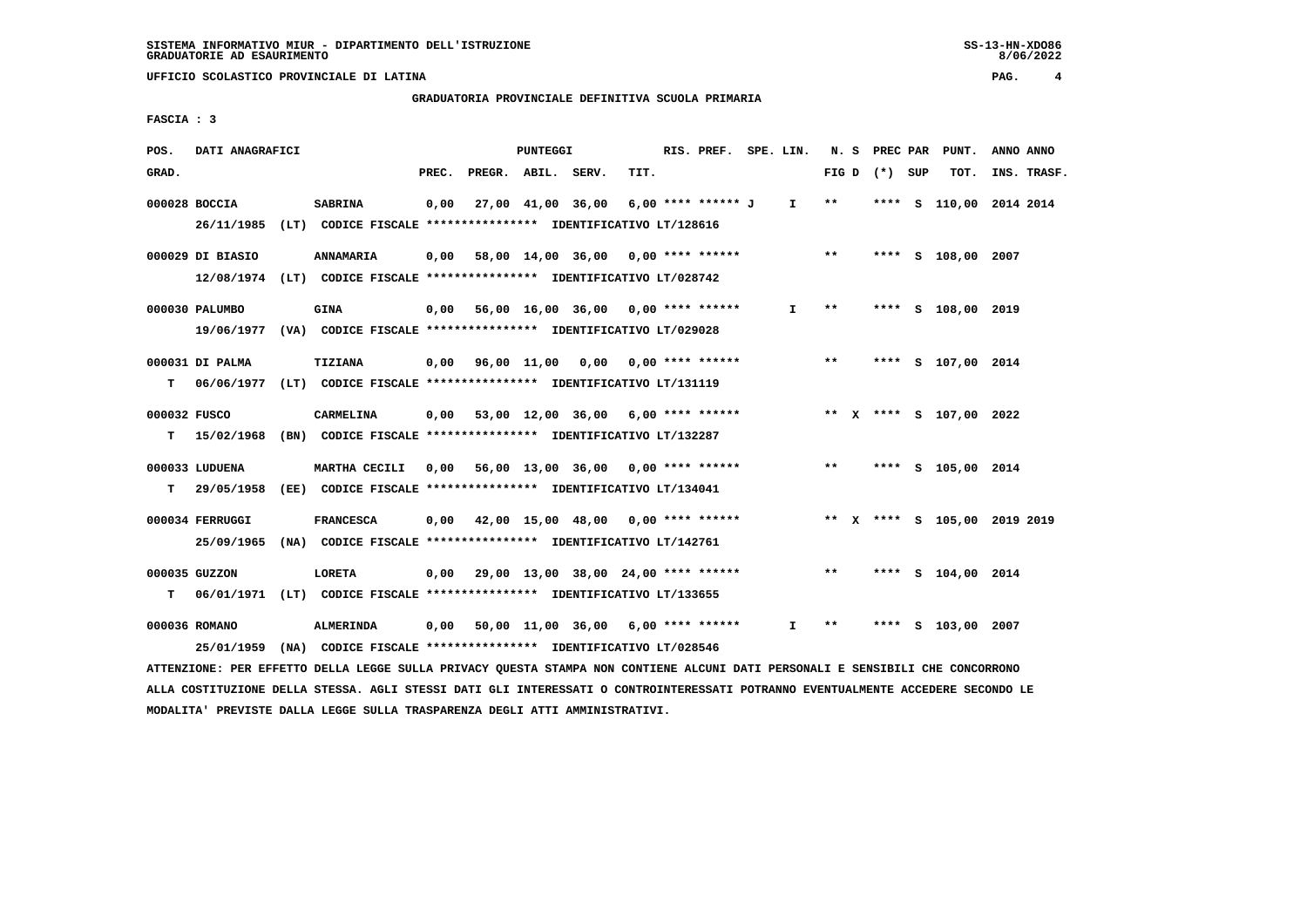**GRADUATORIA PROVINCIALE DEFINITIVA SCUOLA PRIMARIA**

 **FASCIA : 3**

| POS.  | DATI ANAGRAFICI                |                                                                                               |       |                                                  | PUNTEGGI |      | RIS. PREF. SPE. LIN. |              |                 |  | N. S PREC PAR PUNT.          | ANNO ANNO   |  |
|-------|--------------------------------|-----------------------------------------------------------------------------------------------|-------|--------------------------------------------------|----------|------|----------------------|--------------|-----------------|--|------------------------------|-------------|--|
| GRAD. |                                |                                                                                               | PREC. | PREGR. ABIL. SERV.                               |          | TIT. |                      |              | FIG D $(*)$ SUP |  | TOT.                         | INS. TRASF. |  |
|       | 000028 BOCCIA                  | <b>SABRINA</b><br>26/11/1985 (LT) CODICE FISCALE *************** IDENTIFICATIVO LT/128616     |       | 0,00 27,00 41,00 36,00                           |          |      | 6,00 **** ****** J I |              | $* *$           |  | **** S 110,00 2014 2014      |             |  |
|       | 000029 DI BIASIO               | ANNAMARIA<br>12/08/1974 (LT) CODICE FISCALE *************** IDENTIFICATIVO LT/028742          |       | $0,00$ 58,00 14,00 36,00 0,00 **** ****** *** ** |          |      |                      |              |                 |  | **** S 108,00 2007           |             |  |
|       | 000030 PALUMBO                 | <b>GINA</b><br>19/06/1977 (VA) CODICE FISCALE *************** IDENTIFICATIVO LT/029028        |       | $0,00$ 56,00 16,00 36,00 0,00 **** ******        |          |      |                      | $\mathbf{I}$ | $***$           |  | **** S 108,00 2019           |             |  |
| T.    | 000031 DI PALMA                | <b>TIZIANA</b><br>06/06/1977 (LT) CODICE FISCALE *************** IDENTIFICATIVO LT/131119     |       | 0,00 96,00 11,00 0,00 0,00 **** ******           |          |      |                      |              | $***$           |  | **** S 107,00 2014           |             |  |
|       | 000032 FUSCO                   | <b>CARMELINA</b><br>T 15/02/1968 (BN) CODICE FISCALE *************** IDENTIFICATIVO LT/132287 |       | $0,00$ 53,00 12,00 36,00 6,00 **** ******        |          |      |                      |              |                 |  | ** X **** S 107,00 2022      |             |  |
|       | 000033 LUDUENA<br>T 29/05/1958 | MARTHA CECILI<br>(EE) CODICE FISCALE **************** IDENTIFICATIVO LT/134041                |       | $0,00$ 56,00 13,00 36,00 0,00 **** ****** *** ** |          |      |                      |              |                 |  | **** S 105,00 2014           |             |  |
|       | 000034 FERRUGGI                | <b>FRANCESCA</b><br>25/09/1965 (NA) CODICE FISCALE *************** IDENTIFICATIVO LT/142761   |       | 0,00 42,00 15,00 48,00 0,00 **** ******          |          |      |                      |              |                 |  | ** X **** S 105,00 2019 2019 |             |  |
|       | 000035 GUZZON                  | <b>LORETA</b><br>T 06/01/1971 (LT) CODICE FISCALE *************** IDENTIFICATIVO LT/133655    |       | $0,00$ 29,00 13,00 38,00 24,00 **** ******       |          |      |                      |              | $***$           |  | **** S 104,00 2014           |             |  |
|       | 000036 ROMANO                  | ALMERINDA<br>25/01/1959 (NA) CODICE FISCALE *************** IDENTIFICATIVO LT/028546          |       | $0,00$ 50,00 11,00 36,00 6,00 **** ******        |          |      |                      | I.           | $***$           |  | **** S 103,00 2007           |             |  |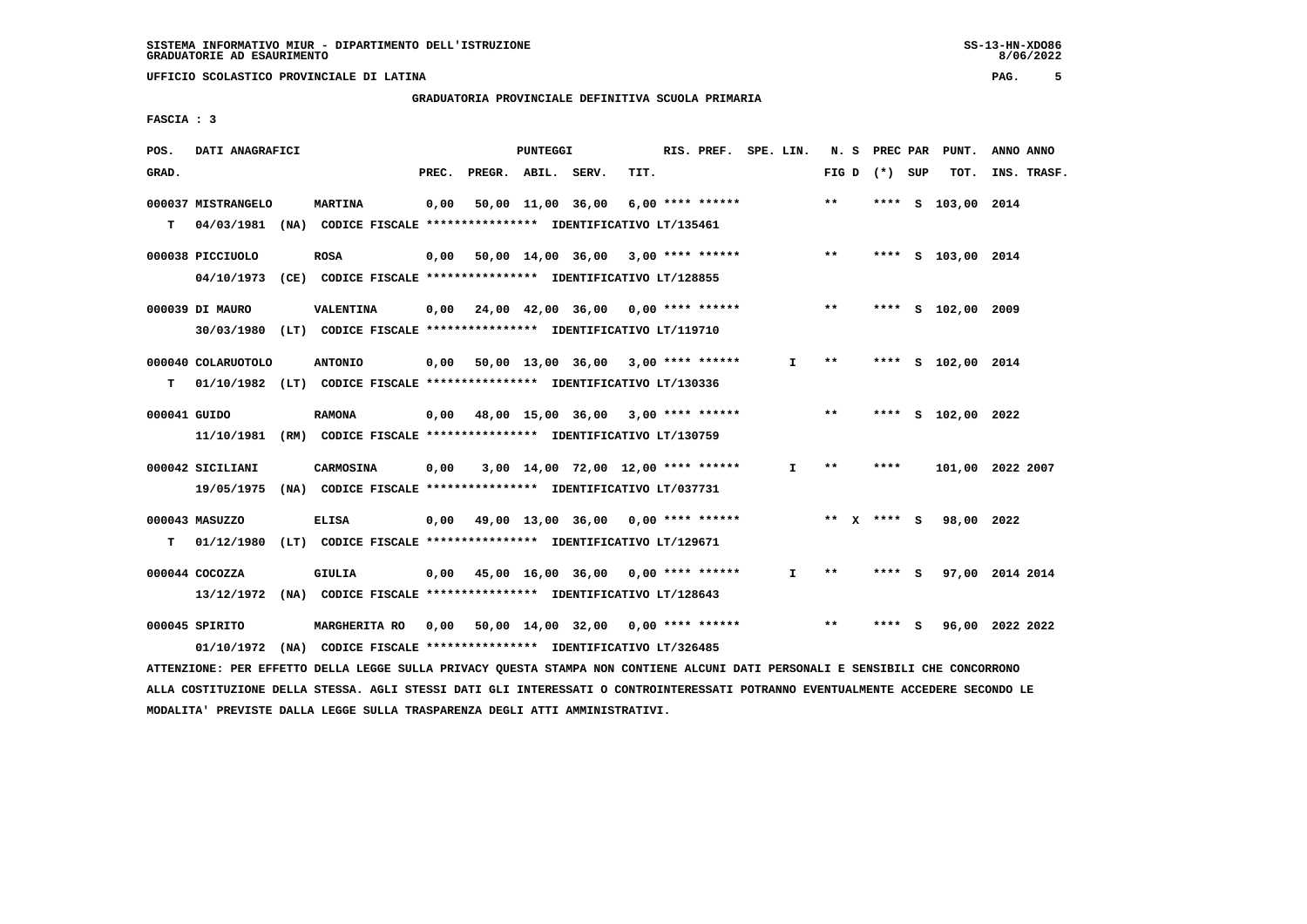#### **GRADUATORIA PROVINCIALE DEFINITIVA SCUOLA PRIMARIA**

 **FASCIA : 3**

| POS.         | DATI ANAGRAFICI    |                                                                                                                               |       | PUNTEGGI |                                                         |      | RIS. PREF. SPE. LIN. |              |              |                 | N. S PREC PAR PUNT. | ANNO ANNO |             |
|--------------|--------------------|-------------------------------------------------------------------------------------------------------------------------------|-------|----------|---------------------------------------------------------|------|----------------------|--------------|--------------|-----------------|---------------------|-----------|-------------|
| GRAD.        |                    |                                                                                                                               | PREC. |          | PREGR. ABIL. SERV.                                      | TIT. |                      |              |              | FIG D $(*)$ SUP | TOT.                |           | INS. TRASF. |
|              | 000037 MISTRANGELO | <b>MARTINA</b>                                                                                                                | 0,00  |          | 50,00 11,00 36,00                                       |      | 6,00 **** ******     |              | $***$        |                 | **** S 103,00 2014  |           |             |
| т            | 04/03/1981         | (NA) CODICE FISCALE **************** IDENTIFICATIVO LT/135461                                                                 |       |          |                                                         |      |                      |              |              |                 |                     |           |             |
|              | 000038 PICCIUOLO   | <b>ROSA</b>                                                                                                                   |       |          | $0,00$ 50,00 14,00 36,00 3,00 **** ******               |      |                      |              | $\star\star$ |                 | **** S 103,00 2014  |           |             |
|              |                    | 04/10/1973 (CE) CODICE FISCALE *************** IDENTIFICATIVO LT/128855                                                       |       |          |                                                         |      |                      |              |              |                 |                     |           |             |
|              |                    |                                                                                                                               |       |          |                                                         |      |                      |              |              |                 |                     |           |             |
|              | 000039 DI MAURO    | <b>VALENTINA</b>                                                                                                              |       |          | $0,00$ $24,00$ $42,00$ $36,00$ $0,00$ $***$ **** ****** |      |                      |              | $* *$        |                 | **** S 102,00 2009  |           |             |
|              |                    | 30/03/1980 (LT) CODICE FISCALE *************** IDENTIFICATIVO LT/119710                                                       |       |          |                                                         |      |                      |              |              |                 |                     |           |             |
|              | 000040 COLARUOTOLO | <b>ANTONIO</b>                                                                                                                |       |          | $0,00$ 50,00 13,00 36,00 3,00 **** ******               |      |                      | I.           | $***$        |                 | **** S 102,00 2014  |           |             |
| т            |                    | 01/10/1982 (LT) CODICE FISCALE *************** IDENTIFICATIVO LT/130336                                                       |       |          |                                                         |      |                      |              |              |                 |                     |           |             |
|              |                    |                                                                                                                               |       |          |                                                         |      |                      |              | $\star\star$ |                 |                     |           |             |
| 000041 GUIDO |                    | <b>RAMONA</b>                                                                                                                 |       |          | $0,00$ 48,00 15,00 36,00 3,00 **** ******               |      |                      |              |              |                 | **** S 102,00 2022  |           |             |
|              |                    | 11/10/1981 (RM) CODICE FISCALE *************** IDENTIFICATIVO LT/130759                                                       |       |          |                                                         |      |                      |              |              |                 |                     |           |             |
|              | 000042 SICILIANI   | CARMOSINA                                                                                                                     | 0,00  |          | 3,00 14,00 72,00 12,00 **** ******                      |      |                      | $\mathbf{I}$ | $* *$        | ****            | 101,00 2022 2007    |           |             |
|              | 19/05/1975         | (NA) CODICE FISCALE *************** IDENTIFICATIVO LT/037731                                                                  |       |          |                                                         |      |                      |              |              |                 |                     |           |             |
|              | 000043 MASUZZO     | <b>ELISA</b>                                                                                                                  |       |          | $0,00$ 49,00 13,00 36,00 0,00 **** ******               |      |                      |              |              | ** x **** S     | 98,00 2022          |           |             |
| т            |                    | 01/12/1980 (LT) CODICE FISCALE **************** IDENTIFICATIVO LT/129671                                                      |       |          |                                                         |      |                      |              |              |                 |                     |           |             |
|              |                    |                                                                                                                               |       |          |                                                         |      |                      |              |              |                 |                     |           |             |
|              | $000044$ COCOZZA   | <b>GIULIA</b>                                                                                                                 |       |          | $0,00$ 45,00 16,00 36,00 0,00 **** ******               |      |                      | $\mathbf{I}$ | $***$        | **** S          | 97,00 2014 2014     |           |             |
|              |                    | 13/12/1972 (NA) CODICE FISCALE *************** IDENTIFICATIVO LT/128643                                                       |       |          |                                                         |      |                      |              |              |                 |                     |           |             |
|              | 000045 SPIRITO     | <b>MARGHERITA RO</b>                                                                                                          |       |          | 0,00 50,00 14,00 32,00 0,00 **** ****** *** ***         |      |                      |              |              | **** S          | 96,00 2022 2022     |           |             |
|              | 01/10/1972         | (NA) CODICE FISCALE **************** IDENTIFICATIVO LT/326485                                                                 |       |          |                                                         |      |                      |              |              |                 |                     |           |             |
|              |                    | ATTENZIONE: PER EFFETTO DELLA LEGGE SULLA PRIVACY QUESTA STAMPA NON CONTIENE ALCUNI DATI PERSONALI E SENSIBILI CHE CONCORRONO |       |          |                                                         |      |                      |              |              |                 |                     |           |             |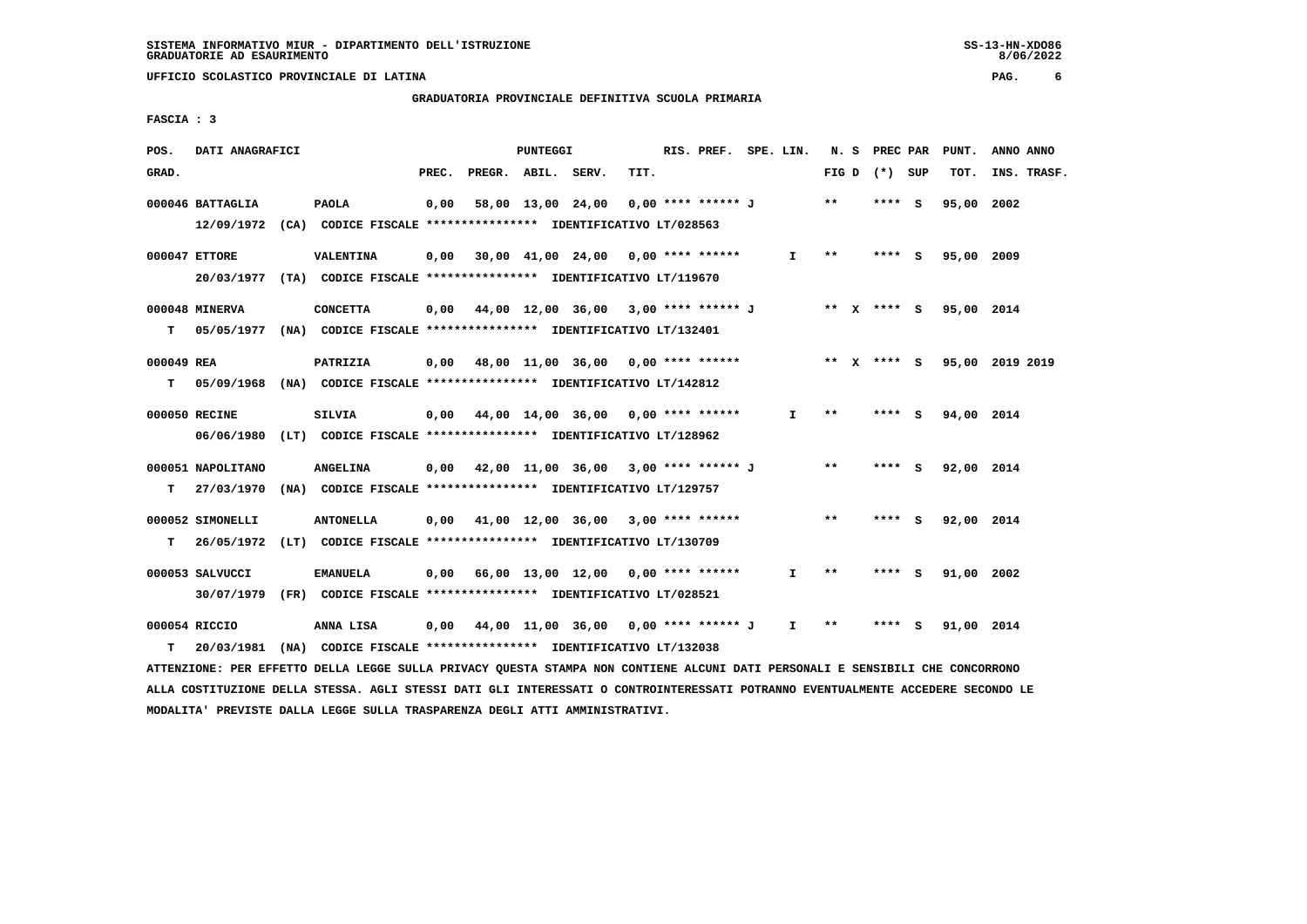# **GRADUATORIA PROVINCIALE DEFINITIVA SCUOLA PRIMARIA**

 **FASCIA : 3**

| POS.       | DATI ANAGRAFICI                                                                              |                  |       |                    | <b>PUNTEGGI</b> |                                             |      | RIS. PREF. SPE. LIN. |              |              | N. S PREC PAR   | PUNT.                  | ANNO ANNO                                                                    |  |
|------------|----------------------------------------------------------------------------------------------|------------------|-------|--------------------|-----------------|---------------------------------------------|------|----------------------|--------------|--------------|-----------------|------------------------|------------------------------------------------------------------------------|--|
| GRAD.      |                                                                                              |                  | PREC. | PREGR. ABIL. SERV. |                 |                                             | TIT. |                      |              |              | FIG D $(*)$ SUP | TOT.                   | INS. TRASF.                                                                  |  |
|            | 000046 BATTAGLIA<br>12/09/1972 (CA) CODICE FISCALE **************** IDENTIFICATIVO LT/028563 | <b>PAOLA</b>     | 0,00  |                    |                 | 58,00 13,00 24,00                           |      | 0,00 **** ****** J   |              | $* *$        | $***$ S         | 95,00 2002             |                                                                              |  |
|            | 000047 ETTORE<br>20/03/1977 (TA) CODICE FISCALE *************** IDENTIFICATIVO LT/119670     | VALENTINA        |       |                    |                 | $0.00$ 30.00 41.00 24.00 0.00 **** ******   |      |                      | I.           | **           | $***5$          | 95,00 2009             |                                                                              |  |
| т          | 000048 MINERVA<br>05/05/1977 (NA) CODICE FISCALE *************** IDENTIFICATIVO LT/132401    | <b>CONCETTA</b>  |       |                    |                 | $0,00$ 44,00 12,00 36,00 3,00 **** ****** J |      |                      |              |              |                 | ** x **** s 95,00 2014 |                                                                              |  |
| 000049 REA |                                                                                              | PATRIZIA         |       |                    |                 |                                             |      |                      |              |              |                 |                        | 0,00 48,00 11,00 36,00 0,00 **** ****** * *** * *** * *** \$ 95,00 2019 2019 |  |
|            | T 05/09/1968 (NA) CODICE FISCALE *************** IDENTIFICATIVO LT/142812<br>000050 RECINE   | SILVIA           |       |                    |                 | 0,00 44,00 14,00 36,00 0,00 **** ******     |      |                      | I.           | **           | **** S          | 94,00 2014             |                                                                              |  |
|            | 06/06/1980 (LT) CODICE FISCALE *************** IDENTIFICATIVO LT/128962<br>000051 NAPOLITANO | <b>ANGELINA</b>  |       |                    |                 | 0,00 42,00 11,00 36,00 3,00 **** ****** J   |      |                      |              | $***$        | $***$ S         | 92,00 2014             |                                                                              |  |
| т          | 27/03/1970 (NA) CODICE FISCALE **************** IDENTIFICATIVO LT/129757<br>000052 SIMONELLI | <b>ANTONELLA</b> |       |                    |                 | $0,00$ 41,00 12,00 36,00 3,00 **** ******   |      |                      |              | $\star\star$ | $***$ S         | 92,00 2014             |                                                                              |  |
| т          | 26/05/1972 (LT) CODICE FISCALE *************** IDENTIFICATIVO LT/130709                      |                  |       |                    |                 |                                             |      |                      |              |              |                 |                        |                                                                              |  |
|            | 000053 SALVUCCI<br>30/07/1979 (FR) CODICE FISCALE *************** IDENTIFICATIVO LT/028521   | <b>EMANUELA</b>  |       |                    |                 | $0,00$ 66,00 13,00 12,00 0,00 **** ******   |      |                      | $\mathbf{I}$ | $***$        | $***$ S         | 91,00 2002             |                                                                              |  |
| т          | 000054 RICCIO<br>20/03/1981 (NA) CODICE FISCALE **************** IDENTIFICATIVO LT/132038    | ANNA LISA        |       |                    |                 | 0,00 44,00 11,00 36,00 0,00 **** ****** J   |      |                      | $\mathbf{I}$ | $* *$        | **** S          | 91,00 2014             |                                                                              |  |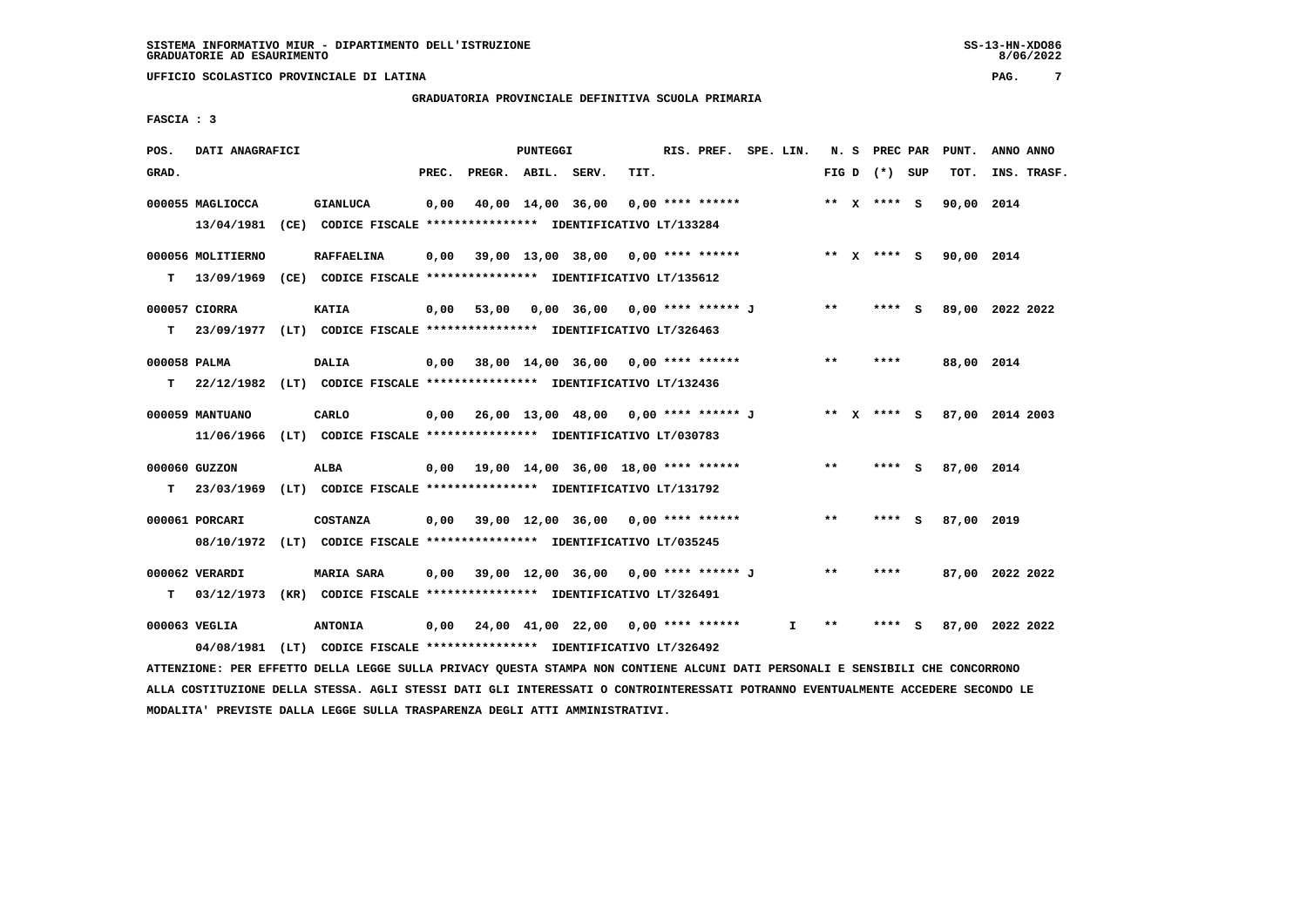#### **GRADUATORIA PROVINCIALE DEFINITIVA SCUOLA PRIMARIA**

 **FASCIA : 3**

| POS.         | DATI ANAGRAFICI   |                                                                                                                               |       |                                                   | PUNTEGGI |                                      |      | RIS. PREF. SPE. LIN. |    |       | N. S PREC PAR   | PUNT.                  | ANNO ANNO                   |
|--------------|-------------------|-------------------------------------------------------------------------------------------------------------------------------|-------|---------------------------------------------------|----------|--------------------------------------|------|----------------------|----|-------|-----------------|------------------------|-----------------------------|
| GRAD.        |                   |                                                                                                                               | PREC. | PREGR. ABIL. SERV.                                |          |                                      | TIT. |                      |    |       | FIG D $(*)$ SUP | тот.                   | INS. TRASF.                 |
|              | 000055 MAGLIOCCA  | <b>GIANLUCA</b>                                                                                                               | 0,00  |                                                   |          | 40,00 14,00 36,00                    |      | $0.00$ **** ******   |    |       | ** x **** S     | 90,00 2014             |                             |
|              |                   | 13/04/1981 (CE) CODICE FISCALE *************** IDENTIFICATIVO LT/133284                                                       |       |                                                   |          |                                      |      |                      |    |       |                 |                        |                             |
|              | 000056 MOLITIERNO | <b>RAFFAELINA</b>                                                                                                             |       | 0,00 39,00 13,00 38,00 0,00 **** ******           |          |                                      |      |                      |    |       |                 | ** x **** s 90,00 2014 |                             |
| т            |                   | 13/09/1969 (CE) CODICE FISCALE **************** IDENTIFICATIVO LT/135612                                                      |       |                                                   |          |                                      |      |                      |    |       |                 |                        |                             |
|              | 000057 CIORRA     | <b>KATIA</b>                                                                                                                  | 0,00  |                                                   |          | 53,00 0,00 36,00 0,00 **** ****** J  |      |                      |    | $***$ | **** S          |                        | 89,00 2022 2022             |
| т            |                   | 23/09/1977 (LT) CODICE FISCALE *************** IDENTIFICATIVO LT/326463                                                       |       |                                                   |          |                                      |      |                      |    |       |                 |                        |                             |
| 000058 PALMA |                   | <b>DALIA</b>                                                                                                                  |       | $0,00$ 38,00 14,00 36,00 0,00 **** ******         |          |                                      |      |                      |    | $* *$ | ****            | 88,00 2014             |                             |
| т            |                   | 22/12/1982 (LT) CODICE FISCALE **************** IDENTIFICATIVO LT/132436                                                      |       |                                                   |          |                                      |      |                      |    |       |                 |                        |                             |
|              | 000059 MANTUANO   | CARLO                                                                                                                         |       | $0,00$ 26,00 13,00 48,00 0,00 **** ****** J       |          |                                      |      |                      |    |       |                 |                        | ** X **** S 87,00 2014 2003 |
|              |                   | 11/06/1966 (LT) CODICE FISCALE *************** IDENTIFICATIVO LT/030783                                                       |       |                                                   |          |                                      |      |                      |    |       |                 |                        |                             |
|              | 000060 GUZZON     | ALBA                                                                                                                          |       | $0,00$ 19,00 14,00 36,00 18,00 **** ******        |          |                                      |      |                      |    | $* *$ | **** S          | 87,00 2014             |                             |
| т            |                   | 23/03/1969 (LT) CODICE FISCALE **************** IDENTIFICATIVO LT/131792                                                      |       |                                                   |          |                                      |      |                      |    |       |                 |                        |                             |
|              | 000061 PORCARI    | <b>COSTANZA</b>                                                                                                               | 0,00  |                                                   |          | $39,00$ 12,00 36,00 0,00 **** ****** |      |                      |    | **    | **** S          | 87,00 2019             |                             |
|              |                   | 08/10/1972 (LT) CODICE FISCALE *************** IDENTIFICATIVO LT/035245                                                       |       |                                                   |          |                                      |      |                      |    |       |                 |                        |                             |
|              | 000062 VERARDI    | <b>MARIA SARA</b>                                                                                                             |       | $0,00$ 39,00 12,00 36,00 0,00 **** ****** J       |          |                                      |      |                      |    | $***$ | ****            |                        | 87,00 2022 2022             |
| т            |                   | 03/12/1973 (KR) CODICE FISCALE *************** IDENTIFICATIVO LT/326491                                                       |       |                                                   |          |                                      |      |                      |    |       |                 |                        |                             |
|              | 000063 VEGLIA     | <b>ANTONIA</b>                                                                                                                |       | $0,00$ $24,00$ $41,00$ $22,00$ $0,00$ **** ****** |          |                                      |      |                      | I. | $***$ | **** S          |                        | 87,00 2022 2022             |
|              | 04/08/1981        | (LT) CODICE FISCALE **************** IDENTIFICATIVO LT/326492                                                                 |       |                                                   |          |                                      |      |                      |    |       |                 |                        |                             |
|              |                   | ATTENZIONE: PER EFFETTO DELLA LEGGE SULLA PRIVACY OUESTA STAMPA NON CONTIENE ALCUNI DATI PERSONALI E SENSIBILI CHE CONCORRONO |       |                                                   |          |                                      |      |                      |    |       |                 |                        |                             |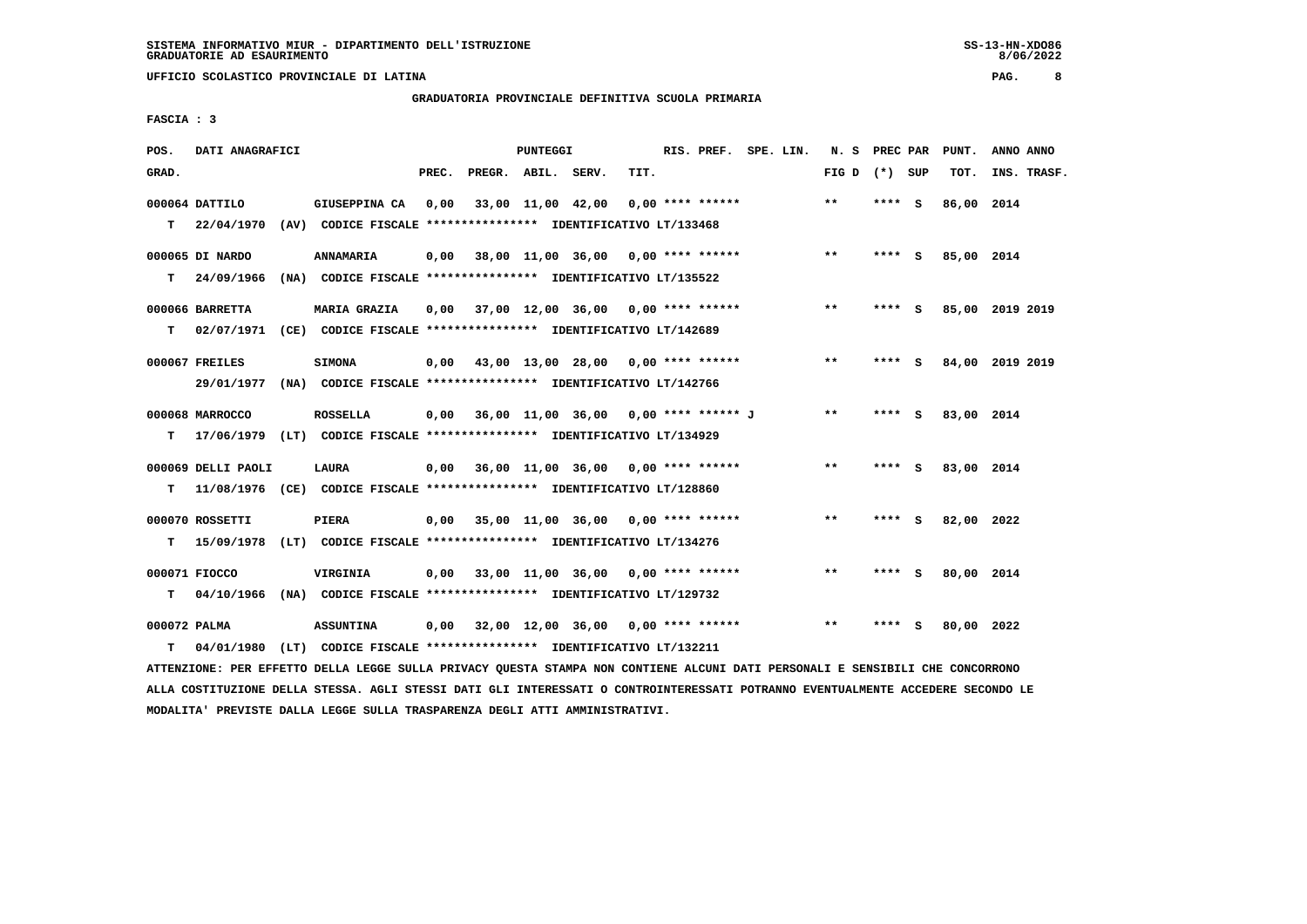**GRADUATORIA PROVINCIALE DEFINITIVA SCUOLA PRIMARIA**

 **FASCIA : 3**

| POS.              | DATI ANAGRAFICI    |                                                                                             |       |                                             | PUNTEGGI |      | RIS. PREF. SPE. LIN. |  | N. S PREC PAR   |        |   | PUNT.      | ANNO ANNO       |
|-------------------|--------------------|---------------------------------------------------------------------------------------------|-------|---------------------------------------------|----------|------|----------------------|--|-----------------|--------|---|------------|-----------------|
| GRAD.             |                    |                                                                                             | PREC. | PREGR. ABIL. SERV.                          |          | TIT. |                      |  | FIG D $(*)$ SUP |        |   | TOT.       | INS. TRASF.     |
|                   | 000064 DATTILO     | GIUSEPPINA CA                                                                               | 0,00  | 33,00 11,00 42,00                           |          |      | $0.00$ **** ******   |  | $* *$           | **** S |   | 86,00 2014 |                 |
|                   |                    | T 22/04/1970 (AV) CODICE FISCALE *************** IDENTIFICATIVO LT/133468                   |       |                                             |          |      |                      |  |                 |        |   |            |                 |
|                   | 000065 DI NARDO    | <b>ANNAMARIA</b>                                                                            | 0.00  | 38,00 11,00 36,00 0,00 **** ******          |          |      |                      |  | $* *$           | **** S |   | 85,00 2014 |                 |
| T.                | 24/09/1966         | (NA) CODICE FISCALE **************** IDENTIFICATIVO LT/135522                               |       |                                             |          |      |                      |  |                 |        |   |            |                 |
|                   | 000066 BARRETTA    | MARIA GRAZIA                                                                                |       | $0,00$ 37,00 12,00 36,00 0,00 **** ******   |          |      |                      |  | **              | **** S |   |            | 85,00 2019 2019 |
| т                 |                    | 02/07/1971 (CE) CODICE FISCALE *************** IDENTIFICATIVO LT/142689                     |       |                                             |          |      |                      |  |                 |        |   |            |                 |
|                   | 000067 FREILES     | <b>SIMONA</b>                                                                               |       | $0,00$ 43,00 13,00 28,00 0,00 **** ******   |          |      |                      |  | **              | **** S |   |            | 84,00 2019 2019 |
|                   |                    | 29/01/1977 (NA) CODICE FISCALE *************** IDENTIFICATIVO LT/142766                     |       |                                             |          |      |                      |  |                 |        |   |            |                 |
|                   |                    |                                                                                             |       |                                             |          |      |                      |  |                 |        |   |            |                 |
|                   | 000068 MARROCCO    | <b>ROSSELLA</b>                                                                             |       | $0,00$ 36,00 11,00 36,00 0,00 **** ****** J |          |      |                      |  | $***$           | **** S |   | 83,00 2014 |                 |
| т                 |                    | 17/06/1979 (LT) CODICE FISCALE *************** IDENTIFICATIVO LT/134929                     |       |                                             |          |      |                      |  |                 |        |   |            |                 |
|                   | 000069 DELLI PAOLI | <b>LAURA</b>                                                                                |       | $0,00$ 36,00 11,00 36,00 0,00 **** ******   |          |      |                      |  | $***$           | **** S |   | 83,00 2014 |                 |
| т                 |                    | 11/08/1976 (CE) CODICE FISCALE **************** IDENTIFICATIVO LT/128860                    |       |                                             |          |      |                      |  |                 |        |   |            |                 |
|                   | 000070 ROSSETTI    | <b>PIERA</b>                                                                                |       | $0,00$ 35,00 11,00 36,00 0,00 **** ******   |          |      |                      |  | **              | **** S |   | 82,00 2022 |                 |
| т                 |                    | 15/09/1978 (LT) CODICE FISCALE *************** IDENTIFICATIVO LT/134276                     |       |                                             |          |      |                      |  |                 |        |   |            |                 |
|                   | 000071 FIOCCO      | VIRGINIA                                                                                    |       | $0,00$ 33,00 11,00 36,00 0,00 **** ******   |          |      |                      |  | $* *$           | **** S |   | 80,00 2014 |                 |
| т                 |                    | 04/10/1966 (NA) CODICE FISCALE **************** IDENTIFICATIVO LT/129732                    |       |                                             |          |      |                      |  |                 |        |   |            |                 |
|                   |                    |                                                                                             |       |                                             |          |      |                      |  | $\star\star$    |        |   |            |                 |
| 000072 PALMA<br>т |                    | <b>ASSUNTINA</b><br>04/01/1980 (LT) CODICE FISCALE *************** IDENTIFICATIVO LT/132211 |       | $0,00$ 32,00 12,00 36,00 0,00 **** ******   |          |      |                      |  |                 | ****   | ్ | 80,00 2022 |                 |
|                   |                    |                                                                                             |       |                                             |          |      |                      |  |                 |        |   |            |                 |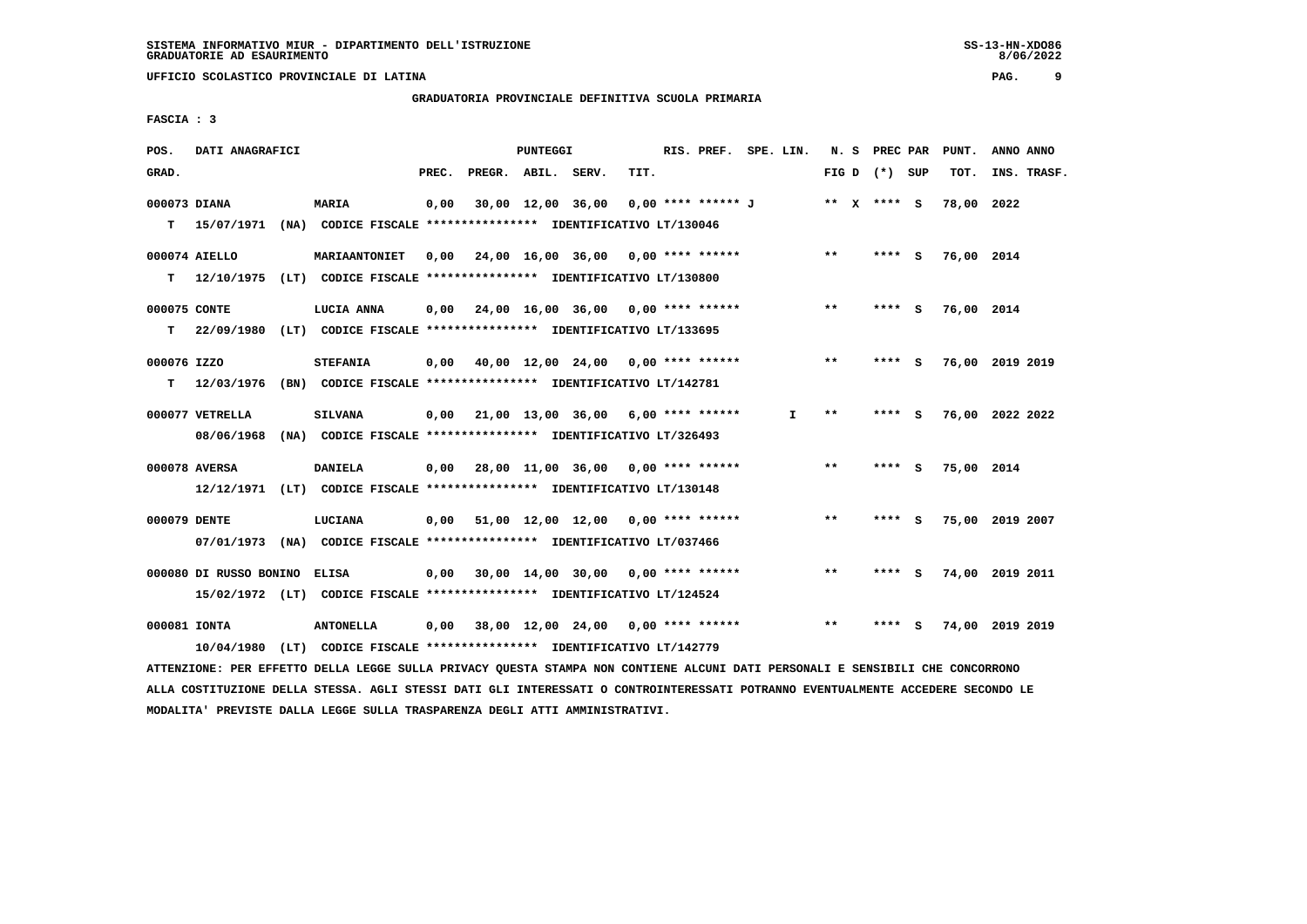**GRADUATORIA PROVINCIALE DEFINITIVA SCUOLA PRIMARIA**

 **FASCIA : 3**

| POS.         | DATI ANAGRAFICI                                                           |                                                              |       |                    | PUNTEGGI |                                                         |      | RIS. PREF. SPE. LIN. |    |       | N. S PREC PAR   |     | PUNT.           | ANNO ANNO |             |
|--------------|---------------------------------------------------------------------------|--------------------------------------------------------------|-------|--------------------|----------|---------------------------------------------------------|------|----------------------|----|-------|-----------------|-----|-----------------|-----------|-------------|
| GRAD.        |                                                                           |                                                              | PREC. | PREGR. ABIL. SERV. |          |                                                         | TIT. |                      |    |       | FIG D $(*)$ SUP |     | TOT.            |           | INS. TRASF. |
| 000073 DIANA |                                                                           | <b>MARIA</b>                                                 | 0,00  |                    |          | 30,00 12,00 36,00                                       |      | 0,00 **** ****** J   |    |       | ** x **** S     |     | 78,00 2022      |           |             |
|              | T 15/07/1971 (NA) CODICE FISCALE *************** IDENTIFICATIVO LT/130046 |                                                              |       |                    |          |                                                         |      |                      |    |       |                 |     |                 |           |             |
|              | 000074 AIELLO                                                             | MARIAANTONIET                                                | 0,00  |                    |          | 24,00 16,00 36,00 0,00 **** ******                      |      |                      |    | $***$ | $***$ S         |     | 76,00 2014      |           |             |
| T.           | 12/10/1975                                                                | (LT) CODICE FISCALE *************** IDENTIFICATIVO LT/130800 |       |                    |          |                                                         |      |                      |    |       |                 |     |                 |           |             |
| 000075 CONTE |                                                                           | LUCIA ANNA                                                   |       |                    |          | $0,00$ $24,00$ $16,00$ $36,00$ $0,00$ $***$ **** ****** |      |                      |    | $**$  | **** S          |     | 76,00 2014      |           |             |
| т            | 22/09/1980                                                                | (LT) CODICE FISCALE *************** IDENTIFICATIVO LT/133695 |       |                    |          |                                                         |      |                      |    |       |                 |     |                 |           |             |
| 000076 IZZO  |                                                                           | <b>STEFANIA</b>                                              |       |                    |          | $0,00$ $40,00$ $12,00$ $24,00$ $0,00$ $***$ **** ****** |      |                      |    | $***$ | **** S          |     | 76,00 2019 2019 |           |             |
| т            | 12/03/1976                                                                | (BN) CODICE FISCALE *************** IDENTIFICATIVO LT/142781 |       |                    |          |                                                         |      |                      |    |       |                 |     |                 |           |             |
|              | 000077 VETRELLA                                                           | <b>SILVANA</b>                                               |       |                    |          | $0,00$ 21,00 13,00 36,00 6,00 **** ******               |      |                      | I. | $* *$ | **** S          |     | 76,00 2022 2022 |           |             |
|              | 08/06/1968 (NA) CODICE FISCALE *************** IDENTIFICATIVO LT/326493   |                                                              |       |                    |          |                                                         |      |                      |    |       |                 |     |                 |           |             |
|              | 000078 AVERSA                                                             | <b>DANIELA</b>                                               |       |                    |          | $0,00$ 28,00 11,00 36,00 0,00 **** ******               |      |                      |    | $***$ | $***5$          |     | 75,00 2014      |           |             |
|              | 12/12/1971 (LT) CODICE FISCALE *************** IDENTIFICATIVO LT/130148   |                                                              |       |                    |          |                                                         |      |                      |    |       |                 |     |                 |           |             |
| 000079 DENTE |                                                                           | LUCIANA                                                      |       |                    |          | $0.00$ 51.00 12.00 12.00 0.00 **** ******               |      |                      |    | $***$ | **** S          |     | 75,00 2019 2007 |           |             |
|              | 07/01/1973 (NA) CODICE FISCALE *************** IDENTIFICATIVO LT/037466   |                                                              |       |                    |          |                                                         |      |                      |    |       |                 |     |                 |           |             |
|              | 000080 DI RUSSO BONINO                                                    | <b>ELISA</b>                                                 | 0,00  |                    |          | 30,00 14,00 30,00 0,00 **** ******                      |      |                      |    | $**$  |                 | - 5 | 74,00 2019 2011 |           |             |
|              | 15/02/1972 (LT) CODICE FISCALE *************** IDENTIFICATIVO LT/124524   |                                                              |       |                    |          |                                                         |      |                      |    |       |                 |     |                 |           |             |
| 000081 IONTA |                                                                           | <b>ANTONELLA</b>                                             |       |                    |          | 0,00 38,00 12,00 24,00                                  |      | $0.00$ **** ******   |    | $**$  |                 | s   | 74,00 2019 2019 |           |             |
|              | 10/04/1980 (LT) CODICE FISCALE *************** IDENTIFICATIVO LT/142779   |                                                              |       |                    |          |                                                         |      |                      |    |       |                 |     |                 |           |             |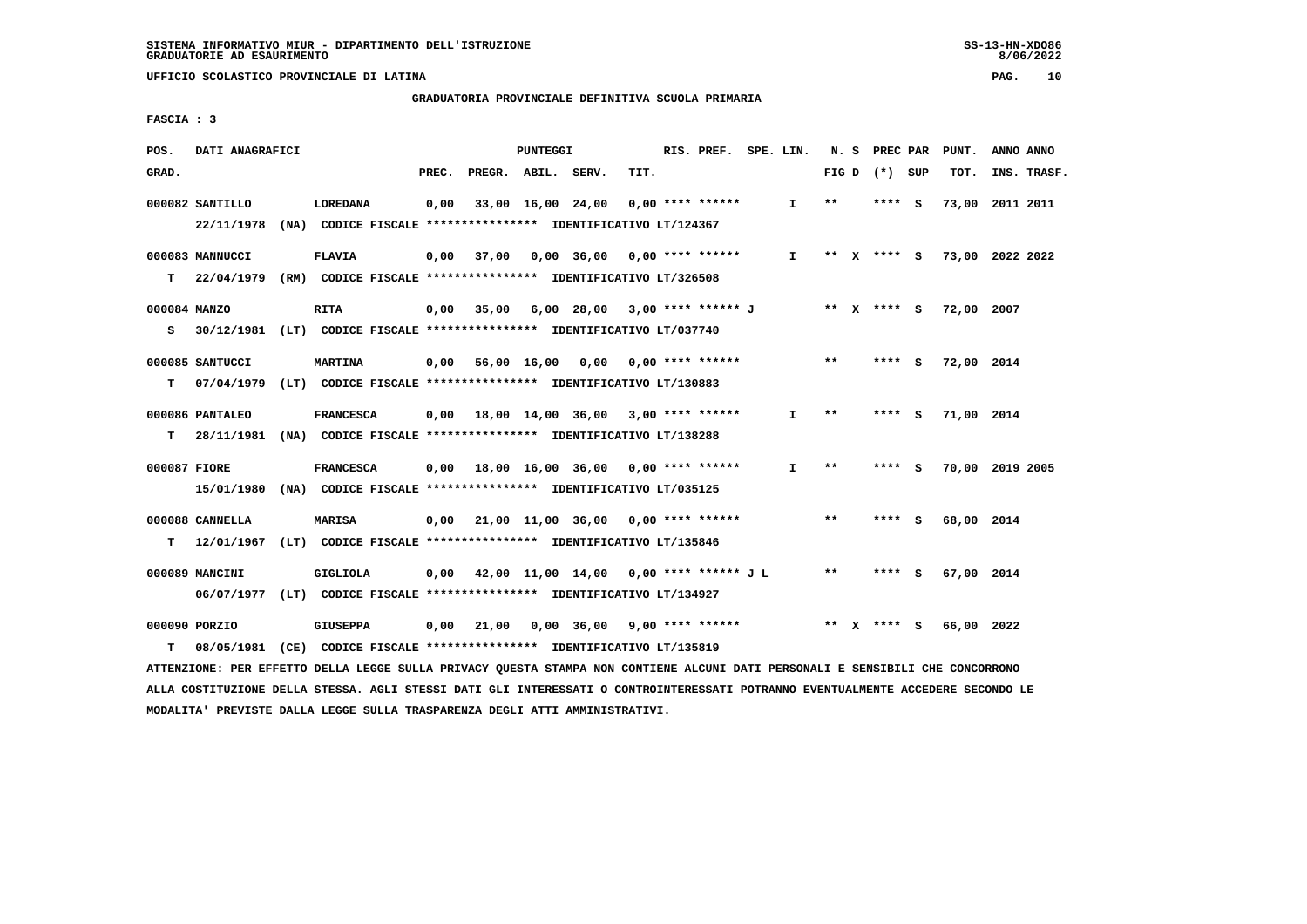# **GRADUATORIA PROVINCIALE DEFINITIVA SCUOLA PRIMARIA**

 **FASCIA : 3**

| POS.              | DATI ANAGRAFICI               |                                                                                             |       |                                               | PUNTEGGI          |                                           |      | RIS. PREF. SPE. LIN. |              |       | N. S | PREC PAR |     | PUNT.      | ANNO ANNO                   |
|-------------------|-------------------------------|---------------------------------------------------------------------------------------------|-------|-----------------------------------------------|-------------------|-------------------------------------------|------|----------------------|--------------|-------|------|----------|-----|------------|-----------------------------|
| GRAD.             |                               |                                                                                             | PREC. | PREGR. ABIL. SERV.                            |                   |                                           | TIT. |                      |              | FIG D |      | (*) SUP  |     | TOT.       | INS. TRASF.                 |
|                   | 000082 SANTILLO<br>22/11/1978 | <b>LOREDANA</b><br>(NA) CODICE FISCALE **************** IDENTIFICATIVO LT/124367            | 0,00  |                                               | 33,00 16,00 24,00 |                                           |      | $0.00$ **** ******   | $\mathbf{I}$ | $***$ |      | **** S   |     | 73,00      | 2011 2011                   |
| T.                | 000083 MANNUCCI<br>22/04/1979 | <b>FLAVIA</b><br>(RM) CODICE FISCALE **************** IDENTIFICATIVO LT/326508              |       | $0,00$ 37,00                                  |                   | 0,00 36,00 0,00 **** ******               |      |                      | $\mathbf{I}$ |       |      |          |     |            | ** X **** S 73,00 2022 2022 |
| 000084 MANZO<br>s |                               | <b>RITA</b><br>30/12/1981 (LT) CODICE FISCALE **************** IDENTIFICATIVO LT/037740     | 0,00  | 35,00                                         |                   | 6,00 28,00 3,00 **** ****** J ** X **** S |      |                      |              |       |      |          |     | 72,00 2007 |                             |
| т                 | 000085 SANTUCCI               | <b>MARTINA</b><br>07/04/1979 (LT) CODICE FISCALE *************** IDENTIFICATIVO LT/130883   | 0,00  |                                               |                   | 56,00 16,00 0,00 0,00 **** ******         |      |                      |              | $* *$ |      | $***5$   |     | 72,00 2014 |                             |
| т                 | 000086 PANTALEO               | <b>FRANCESCA</b><br>28/11/1981 (NA) CODICE FISCALE *************** IDENTIFICATIVO LT/138288 |       | $0.00$ 18.00 14.00 36.00 3.00 **** ******     |                   |                                           |      |                      | $\mathbf{I}$ | $* *$ |      | **** S   |     | 71,00 2014 |                             |
| 000087 FIORE      | 15/01/1980                    | <b>FRANCESCA</b><br>(NA) CODICE FISCALE **************** IDENTIFICATIVO LT/035125           |       |                                               |                   |                                           |      |                      | $\mathbf{I}$ | $***$ |      | **** S   |     |            | 70,00 2019 2005             |
| т                 | 000088 CANNELLA               | <b>MARISA</b><br>12/01/1967 (LT) CODICE FISCALE **************** IDENTIFICATIVO LT/135846   |       | $0,00$ 21,00 11,00 36,00 0,00 **** ******     |                   |                                           |      |                      |              | $* *$ |      | **** S   |     | 68,00 2014 |                             |
|                   | 000089 MANCINI                | <b>GIGLIOLA</b><br>06/07/1977 (LT) CODICE FISCALE *************** IDENTIFICATIVO LT/134927  |       | $0,00$ 42,00 11,00 14,00 0,00 **** ****** J L |                   |                                           |      |                      |              | $* *$ |      | ****     | - S | 67,00 2014 |                             |
| т                 | 000090 PORZIO                 | <b>GIUSEPPA</b><br>08/05/1981 (CE) CODICE FISCALE *************** IDENTIFICATIVO LT/135819  | 0,00  | 21,00                                         |                   | $0,00$ 36,00 9,00 **** ******             |      |                      |              | ** X  |      | **** S   |     | 66,00 2022 |                             |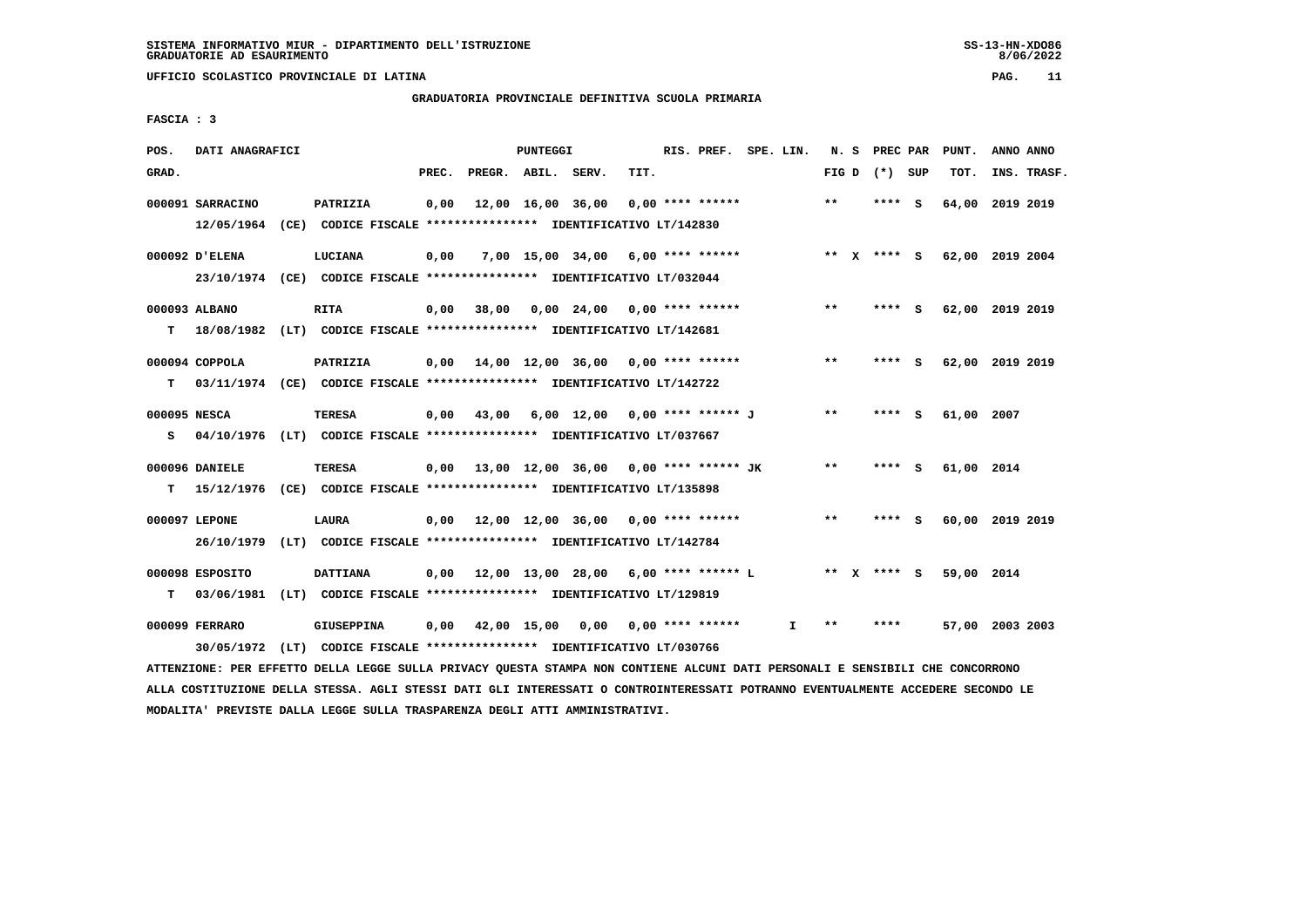**MODALITA' PREVISTE DALLA LEGGE SULLA TRASPARENZA DEGLI ATTI AMMINISTRATIVI.**

 **UFFICIO SCOLASTICO PROVINCIALE DI LATINA PAG. 11**

# **GRADUATORIA PROVINCIALE DEFINITIVA SCUOLA PRIMARIA**

 **FASCIA : 3**

| POS.  | DATI ANAGRAFICI  |                                                                                                                                 |       |                                              | PUNTEGGI |                                     |      | RIS. PREF. SPE. LIN. |              |       | N. S PREC PAR     | PUNT.           | ANNO ANNO       |  |
|-------|------------------|---------------------------------------------------------------------------------------------------------------------------------|-------|----------------------------------------------|----------|-------------------------------------|------|----------------------|--------------|-------|-------------------|-----------------|-----------------|--|
| GRAD. |                  |                                                                                                                                 | PREC. | PREGR. ABIL. SERV.                           |          |                                     | TIT. |                      |              |       | FIG $D$ $(*)$ SUP | TOT.            | INS. TRASF.     |  |
|       | 000091 SARRACINO | PATRIZIA                                                                                                                        | 0,00  |                                              |          | 12,00 16,00 36,00                   |      | $0.00$ **** ******   |              | $***$ | **** S            | 64,00 2019 2019 |                 |  |
|       |                  | 12/05/1964 (CE) CODICE FISCALE *************** IDENTIFICATIVO LT/142830                                                         |       |                                              |          |                                     |      |                      |              |       |                   |                 |                 |  |
|       | 000092 D'ELENA   | LUCIANA                                                                                                                         | 0,00  |                                              |          | $7,00$ 15,00 34,00 6,00 **** ****** |      |                      |              |       | ** x **** s       | 62,00 2019 2004 |                 |  |
|       |                  | 23/10/1974 (CE) CODICE FISCALE *************** IDENTIFICATIVO LT/032044                                                         |       |                                              |          |                                     |      |                      |              |       |                   |                 |                 |  |
|       | 000093 ALBANO    | <b>RITA</b>                                                                                                                     | 0,00  | 38,00 0,00 24,00 0,00 **** ******            |          |                                     |      |                      |              | $***$ | $***$ S           | 62,00 2019 2019 |                 |  |
| т     |                  | 18/08/1982 (LT) CODICE FISCALE **************** IDENTIFICATIVO LT/142681                                                        |       |                                              |          |                                     |      |                      |              |       |                   |                 |                 |  |
|       | 000094 COPPOLA   | PATRIZIA                                                                                                                        | 0,00  | 14,00 12,00 36,00 0,00 **** ******           |          |                                     |      |                      |              | $***$ | **** S            | 62,00 2019 2019 |                 |  |
| т     |                  | 03/11/1974 (CE) CODICE FISCALE *************** IDENTIFICATIVO LT/142722                                                         |       |                                              |          |                                     |      |                      |              |       |                   |                 |                 |  |
|       |                  |                                                                                                                                 |       |                                              |          |                                     |      |                      |              |       |                   |                 |                 |  |
|       | 000095 NESCA     | <b>TERESA</b>                                                                                                                   |       | $0,00$ 43,00 6,00 12,00 0,00 **** ****** J   |          |                                     |      |                      |              | $* *$ | $***$ S           | 61,00 2007      |                 |  |
| s     |                  | 04/10/1976 (LT) CODICE FISCALE **************** IDENTIFICATIVO LT/037667                                                        |       |                                              |          |                                     |      |                      |              |       |                   |                 |                 |  |
|       | 000096 DANIELE   | TERESA                                                                                                                          |       | $0.00$ 13,00 12,00 36,00 0.00 **** ****** JK |          |                                     |      |                      |              | **    | **** S            | 61,00 2014      |                 |  |
| т     |                  | 15/12/1976 (CE) CODICE FISCALE *************** IDENTIFICATIVO LT/135898                                                         |       |                                              |          |                                     |      |                      |              |       |                   |                 |                 |  |
|       | 000097 LEPONE    | LAURA                                                                                                                           |       | $0,00$ 12,00 12,00 36,00 0,00 **** ******    |          |                                     |      |                      |              | **    | **** S            | 60,00 2019 2019 |                 |  |
|       |                  | 26/10/1979 (LT) CODICE FISCALE *************** IDENTIFICATIVO LT/142784                                                         |       |                                              |          |                                     |      |                      |              |       |                   |                 |                 |  |
|       |                  |                                                                                                                                 |       |                                              |          |                                     |      |                      |              |       |                   |                 |                 |  |
|       | 000098 ESPOSITO  | <b>DATTIANA</b>                                                                                                                 |       | $0,00$ 12,00 13,00 28,00 6,00 **** ****** L  |          |                                     |      |                      |              |       | ** X **** S       | 59,00 2014      |                 |  |
| т     |                  | 03/06/1981 (LT) CODICE FISCALE **************** IDENTIFICATIVO LT/129819                                                        |       |                                              |          |                                     |      |                      |              |       |                   |                 |                 |  |
|       | 000099 FERRARO   | GIUSEPPINA                                                                                                                      | 0,00  | 42,00 15,00 0,00                             |          |                                     |      | $0.00$ **** ******   | $\mathbf{I}$ | $* *$ | ****              |                 | 57,00 2003 2003 |  |
|       |                  | 30/05/1972 (LT) CODICE FISCALE *************** IDENTIFICATIVO LT/030766                                                         |       |                                              |          |                                     |      |                      |              |       |                   |                 |                 |  |
|       |                  | ATTENZIONE: PER EFFETTO DELLA LEGGE SULLA PRIVACY QUESTA STAMPA NON CONTIENE ALCUNI DATI PERSONALI E SENSIBILI CHE CONCORRONO   |       |                                              |          |                                     |      |                      |              |       |                   |                 |                 |  |
|       |                  | ALLA COSTITUZIONE DELLA STESSA. AGLI STESSI DATI GLI INTERESSATI O CONTROINTERESSATI POTRANNO EVENTUALMENTE ACCEDERE SECONDO LE |       |                                              |          |                                     |      |                      |              |       |                   |                 |                 |  |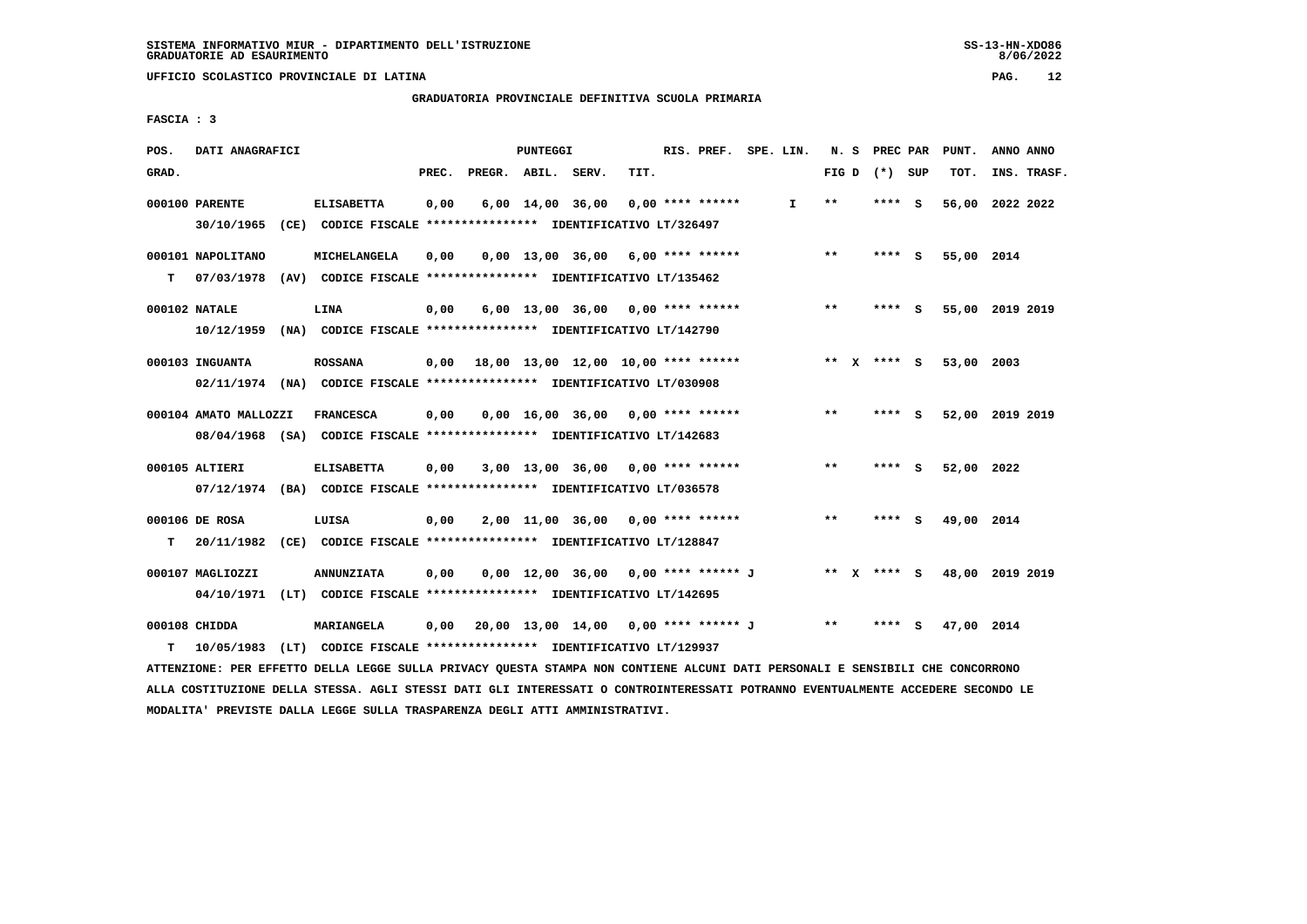**GRADUATORIA PROVINCIALE DEFINITIVA SCUOLA PRIMARIA**

 **FASCIA : 3**

| POS.  | DATI ANAGRAFICI       |                                                                                              |       |                                            | PUNTEGGI |                                      |      | RIS. PREF. SPE. LIN. |              |       | N. S PREC PAR   |   | PUNT.      | ANNO ANNO       |
|-------|-----------------------|----------------------------------------------------------------------------------------------|-------|--------------------------------------------|----------|--------------------------------------|------|----------------------|--------------|-------|-----------------|---|------------|-----------------|
| GRAD. |                       |                                                                                              | PREC. | PREGR. ABIL. SERV.                         |          |                                      | TIT. |                      |              |       | FIG D $(*)$ SUP |   | TOT.       | INS. TRASF.     |
|       | 000100 PARENTE        | <b>ELISABETTA</b><br>30/10/1965 (CE) CODICE FISCALE *************** IDENTIFICATIVO LT/326497 | 0,00  |                                            |          | $6,00$ $14,00$ $36,00$               |      | $0.00$ **** ******   | $\mathbf{I}$ | $* *$ | **** S          |   | 56,00      | 2022 2022       |
|       |                       |                                                                                              |       |                                            |          |                                      |      |                      |              |       |                 |   |            |                 |
|       | 000101 NAPOLITANO     | MICHELANGELA                                                                                 | 0,00  |                                            |          | $0,00$ 13,00 36,00 6,00 **** ******  |      |                      |              | $***$ | $***$ S         |   | 55,00 2014 |                 |
| T.    |                       | 07/03/1978 (AV) CODICE FISCALE *************** IDENTIFICATIVO LT/135462                      |       |                                            |          |                                      |      |                      |              |       |                 |   |            |                 |
|       | 000102 NATALE         | LINA                                                                                         | 0,00  |                                            |          | $6,00$ 13,00 36,00 0,00 **** ******  |      |                      |              | **    | **** S          |   |            | 55,00 2019 2019 |
|       |                       | 10/12/1959 (NA) CODICE FISCALE *************** IDENTIFICATIVO LT/142790                      |       |                                            |          |                                      |      |                      |              |       |                 |   |            |                 |
|       | 000103 INGUANTA       | <b>ROSSANA</b>                                                                               |       | $0,00$ 18,00 13,00 12,00 10,00 **** ****** |          |                                      |      |                      |              |       | ** x **** s     |   | 53,00 2003 |                 |
|       |                       | 02/11/1974 (NA) CODICE FISCALE *************** IDENTIFICATIVO LT/030908                      |       |                                            |          |                                      |      |                      |              |       |                 |   |            |                 |
|       |                       |                                                                                              |       |                                            |          |                                      |      |                      |              |       |                 |   |            |                 |
|       | 000104 AMATO MALLOZZI | <b>FRANCESCA</b>                                                                             | 0,00  |                                            |          | $0,00$ 16,00 36,00 0,00 **** ******  |      |                      |              | $***$ | **** S          |   |            | 52,00 2019 2019 |
|       |                       | 08/04/1968 (SA) CODICE FISCALE *************** IDENTIFICATIVO LT/142683                      |       |                                            |          |                                      |      |                      |              |       |                 |   |            |                 |
|       | 000105 ALTIERI        | <b>ELISABETTA</b>                                                                            | 0,00  |                                            |          | $3,00$ 13,00 36,00 0,00 **** ******  |      |                      |              | $* *$ | **** S          |   | 52,00 2022 |                 |
|       |                       | 07/12/1974 (BA) CODICE FISCALE *************** IDENTIFICATIVO LT/036578                      |       |                                            |          |                                      |      |                      |              |       |                 |   |            |                 |
|       | 000106 DE ROSA        | LUISA                                                                                        | 0,00  |                                            |          | $2,00$ 11,00 36,00 0,00 **** ******  |      |                      |              | $* *$ | **** S          |   | 49,00 2014 |                 |
| т     |                       | 20/11/1982 (CE) CODICE FISCALE *************** IDENTIFICATIVO LT/128847                      |       |                                            |          |                                      |      |                      |              |       |                 |   |            |                 |
|       |                       |                                                                                              |       |                                            |          |                                      |      |                      |              |       |                 |   |            |                 |
|       | 000107 MAGLIOZZI      | <b>ANNUNZIATA</b><br>04/10/1971 (LT) CODICE FISCALE *************** IDENTIFICATIVO LT/142695 | 0,00  |                                            |          | 0,00 12,00 36,00 0,00 **** ****** J  |      |                      |              |       | ** x **** S     |   |            | 48,00 2019 2019 |
|       |                       |                                                                                              |       |                                            |          |                                      |      |                      |              |       |                 |   |            |                 |
|       | 000108 CHIDDA         | <b>MARIANGELA</b>                                                                            | 0,00  |                                            |          | 20,00 13,00 14,00 0,00 **** ****** J |      |                      |              | $***$ | ****            | s | 47,00 2014 |                 |
| т     |                       | 10/05/1983 (LT) CODICE FISCALE *************** IDENTIFICATIVO LT/129937                      |       |                                            |          |                                      |      |                      |              |       |                 |   |            |                 |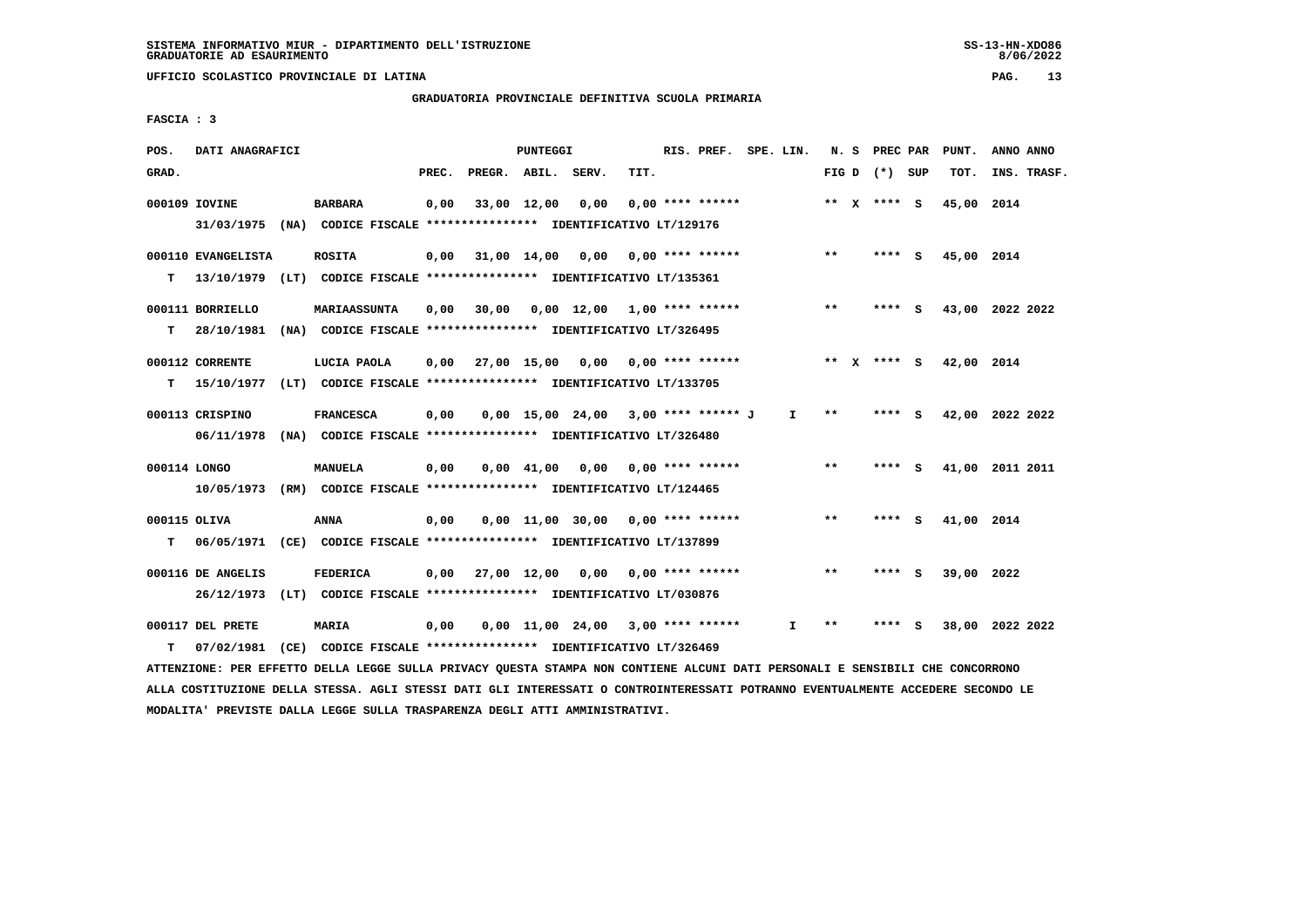**GRADUATORIA PROVINCIALE DEFINITIVA SCUOLA PRIMARIA**

 **FASCIA : 3**

| POS.  | DATI ANAGRAFICI    |                                                                          |       |                                          | PUNTEGGI    |                                     |      | RIS. PREF. SPE. LIN. |              |       | N. S PREC PAR     |     | PUNT.      | ANNO ANNO       |
|-------|--------------------|--------------------------------------------------------------------------|-------|------------------------------------------|-------------|-------------------------------------|------|----------------------|--------------|-------|-------------------|-----|------------|-----------------|
| GRAD. |                    |                                                                          | PREC. | PREGR. ABIL.                             |             | SERV.                               | TIT. |                      |              |       | FIG $D$ $(*)$ SUP |     | TOT.       | INS. TRASF.     |
|       | 000109 IOVINE      | <b>BARBARA</b>                                                           | 0,00  |                                          | 33,00 12,00 | 0,00                                |      | $0.00$ **** ******   |              |       | ** x **** s       |     | 45,00 2014 |                 |
|       |                    | 31/03/1975 (NA) CODICE FISCALE *************** IDENTIFICATIVO LT/129176  |       |                                          |             |                                     |      |                      |              |       |                   |     |            |                 |
|       | 000110 EVANGELISTA | <b>ROSITA</b>                                                            | 0,00  | 31,00 14,00 0,00                         |             |                                     |      | $0.00$ **** ******   |              | $***$ | **** S            |     | 45,00 2014 |                 |
| т     | 13/10/1979         | (LT) CODICE FISCALE **************** IDENTIFICATIVO LT/135361            |       |                                          |             |                                     |      |                      |              |       |                   |     |            |                 |
|       | 000111 BORRIELLO   | <b>MARIAASSUNTA</b>                                                      | 0,00  | 30,00                                    |             | $0,00$ 12,00 1,00 **** ******       |      |                      |              | $***$ | **** S            |     |            | 43,00 2022 2022 |
| т     | 28/10/1981         | (NA) CODICE FISCALE *************** IDENTIFICATIVO LT/326495             |       |                                          |             |                                     |      |                      |              |       |                   |     |            |                 |
|       | 000112 CORRENTE    | LUCIA PAOLA                                                              |       | $0.00$ 27.00 15.00 0.00 0.00 **** ****** |             |                                     |      |                      |              |       | ** $X$ **** S     |     | 42,00 2014 |                 |
| т     |                    | 15/10/1977 (LT) CODICE FISCALE **************** IDENTIFICATIVO LT/133705 |       |                                          |             |                                     |      |                      |              |       |                   |     |            |                 |
|       | 000113 CRISPINO    | <b>FRANCESCA</b>                                                         | 0,00  |                                          |             | 0,00 15,00 24,00 3,00 **** ****** J |      |                      | $\mathbf{I}$ | $* *$ | **** S            |     |            | 42,00 2022 2022 |
|       | 06/11/1978         | (NA) CODICE FISCALE **************** IDENTIFICATIVO LT/326480            |       |                                          |             |                                     |      |                      |              |       |                   |     |            |                 |
|       |                    |                                                                          |       |                                          |             |                                     |      |                      |              |       |                   |     |            |                 |
|       | 000114 LONGO       | <b>MANUELA</b>                                                           | 0,00  |                                          |             | $0.00 \quad 41.00 \quad 0.00$       |      | $0.00$ **** ******   |              | $**$  | **** S            |     |            | 41,00 2011 2011 |
|       |                    | 10/05/1973 (RM) CODICE FISCALE *************** IDENTIFICATIVO LT/124465  |       |                                          |             |                                     |      |                      |              |       |                   |     |            |                 |
|       | 000115 OLIVA       | <b>ANNA</b>                                                              | 0,00  |                                          |             | $0,00$ 11,00 30,00 0,00 **** ****** |      |                      |              | $**$  | $***$ S           |     | 41,00 2014 |                 |
| т     |                    | 06/05/1971 (CE) CODICE FISCALE *************** IDENTIFICATIVO LT/137899  |       |                                          |             |                                     |      |                      |              |       |                   |     |            |                 |
|       | 000116 DE ANGELIS  | <b>FEDERICA</b>                                                          |       | $0,00$ 27,00 12,00 0,00 0,00 **** ****** |             |                                     |      |                      |              | $* *$ | **** S            |     | 39,00 2022 |                 |
|       |                    | 26/12/1973 (LT) CODICE FISCALE *************** IDENTIFICATIVO LT/030876  |       |                                          |             |                                     |      |                      |              |       |                   |     |            |                 |
|       | 000117 DEL PRETE   | <b>MARIA</b>                                                             | 0,00  |                                          |             | $0,00$ 11,00 24,00 3,00 **** ****** |      |                      | I.           | **    |                   | - S |            | 38,00 2022 2022 |
| т     | 07/02/1981         | (CE) CODICE FISCALE **************** IDENTIFICATIVO LT/326469            |       |                                          |             |                                     |      |                      |              |       |                   |     |            |                 |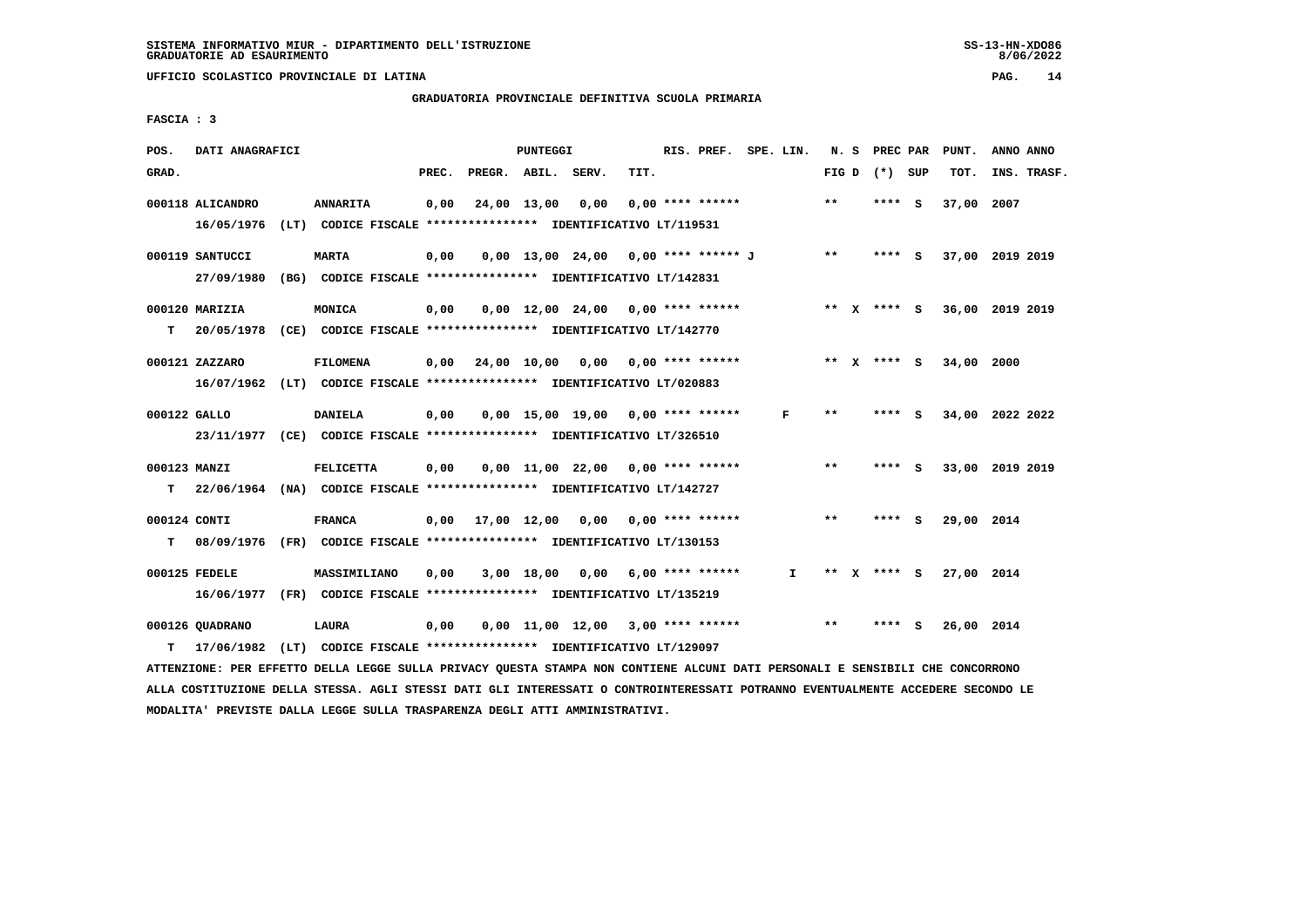# **GRADUATORIA PROVINCIALE DEFINITIVA SCUOLA PRIMARIA**

 **FASCIA : 3**

| POS.               | DATI ANAGRAFICI               |                                                                                             |       |                                          | PUNTEGGI    |                                       |      | RIS. PREF. SPE. LIN. |              |       | N. S PREC PAR   | PUNT.      | ANNO ANNO                   |
|--------------------|-------------------------------|---------------------------------------------------------------------------------------------|-------|------------------------------------------|-------------|---------------------------------------|------|----------------------|--------------|-------|-----------------|------------|-----------------------------|
| GRAD.              |                               |                                                                                             | PREC. | PREGR. ABIL. SERV.                       |             |                                       | TIT. |                      |              |       | FIG D $(*)$ SUP | TOT.       | INS. TRASF.                 |
|                    | 000118 ALICANDRO              | <b>ANNARITA</b><br>16/05/1976 (LT) CODICE FISCALE **************** IDENTIFICATIVO LT/119531 | 0,00  |                                          | 24,00 13,00 | 0,00                                  |      | $0.00$ **** ******   |              | $* *$ | **** S          | 37,00 2007 |                             |
|                    | 000119 SANTUCCI<br>27/09/1980 | <b>MARTA</b><br>(BG) CODICE FISCALE **************** IDENTIFICATIVO LT/142831               | 0,00  |                                          |             | $0,00$ 13,00 24,00 0,00 **** ****** J |      |                      |              | $* *$ | $***$ S         |            | 37,00 2019 2019             |
| T.                 | 000120 MARIZIA                | MONICA<br>20/05/1978 (CE) CODICE FISCALE **************** IDENTIFICATIVO LT/142770          | 0,00  |                                          |             | $0.00$ 12.00 24.00 0.00 **** ******   |      |                      |              |       |                 |            | ** X **** S 36,00 2019 2019 |
|                    | 000121 ZAZZARO                | <b>FILOMENA</b><br>16/07/1962 (LT) CODICE FISCALE **************** IDENTIFICATIVO LT/020883 |       | $0,00$ 24,00 10,00 0,00 0,00 **** ****** |             |                                       |      |                      |              |       | ** x **** S     | 34,00      | 2000                        |
| 000122 GALLO       |                               | DANIELA<br>23/11/1977 (CE) CODICE FISCALE *************** IDENTIFICATIVO LT/326510          | 0,00  |                                          |             | $0.00$ 15.00 19.00 0.00 **** ******   |      |                      | F            | $* *$ | **** S          |            | 34,00 2022 2022             |
| 000123 MANZI<br>T. |                               | FELICETTA<br>22/06/1964 (NA) CODICE FISCALE **************** IDENTIFICATIVO LT/142727       | 0,00  |                                          |             | 0,00 11,00 22,00 0,00 **** ******     |      |                      |              | $***$ | **** S          |            | 33,00 2019 2019             |
| 000124 CONTI<br>т  |                               | <b>FRANCA</b><br>08/09/1976 (FR) CODICE FISCALE *************** IDENTIFICATIVO LT/130153    |       | $0,00$ $17,00$ $12,00$ $0,00$            |             |                                       |      | $0.00$ **** ******   |              | $* *$ | **** $S$        | 29,00 2014 |                             |
|                    | 000125 FEDELE                 | MASSIMILIANO<br>16/06/1977 (FR) CODICE FISCALE *************** IDENTIFICATIVO LT/135219     | 0,00  |                                          |             | $3,00$ 18,00 0,00 6,00 **** ******    |      |                      | $\mathbf{I}$ | ** X  | **** S          | 27,00 2014 |                             |
| T.                 | 000126 OUADRANO<br>17/06/1982 | LAURA<br>(LT) CODICE FISCALE **************** IDENTIFICATIVO LT/129097                      | 0,00  |                                          |             | $0,00$ 11,00 12,00 3,00 **** ******   |      |                      |              | $***$ | **** S          | 26,00 2014 |                             |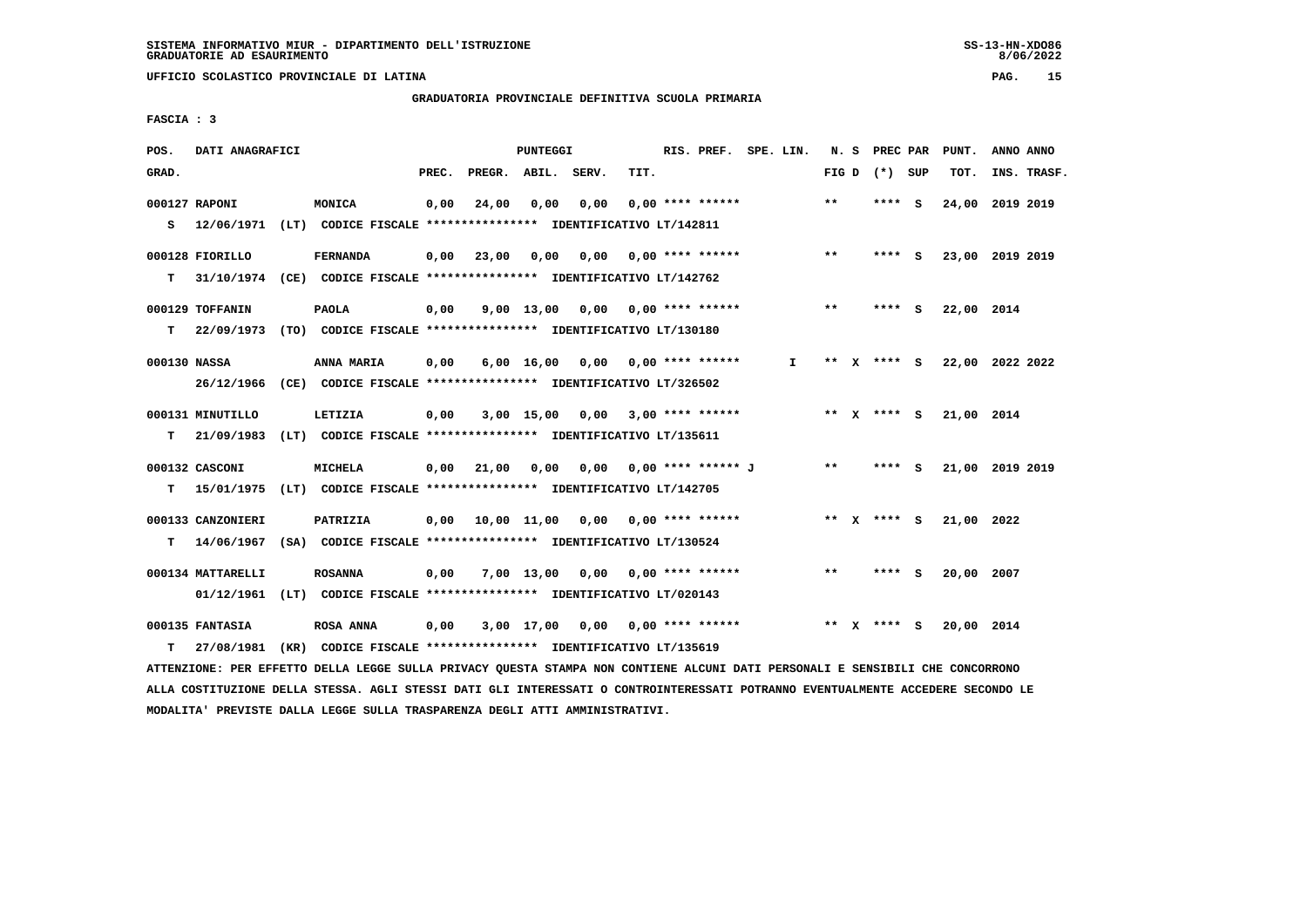$8/06/2022$ 

 **UFFICIO SCOLASTICO PROVINCIALE DI LATINA PAG. 15**

 **GRADUATORIA PROVINCIALE DEFINITIVA SCUOLA PRIMARIA**

 **FASCIA : 3**

| POS.         | DATI ANAGRAFICI                 |                                                                                             |       |                                          | <b>PUNTEGGI</b>    |       |      | RIS. PREF. SPE. LIN.      |    |       |              | N. S PREC PAR   | PUNT.      | ANNO ANNO       |
|--------------|---------------------------------|---------------------------------------------------------------------------------------------|-------|------------------------------------------|--------------------|-------|------|---------------------------|----|-------|--------------|-----------------|------------|-----------------|
| GRAD.        |                                 |                                                                                             | PREC. | PREGR.                                   | ABIL.              | SERV. | TIT. |                           |    |       |              | FIG D $(*)$ SUP | TOT.       | INS. TRASF.     |
| s            | 000127 RAPONI                   | MONICA<br>12/06/1971 (LT) CODICE FISCALE *************** IDENTIFICATIVO LT/142811           | 0,00  | 24,00                                    | 0,00               | 0,00  |      | $0.00$ **** ******        |    | $***$ |              | **** S          | 24,00      | 2019 2019       |
| т            | 000128 FIORILLO                 | <b>FERNANDA</b><br>31/10/1974 (CE) CODICE FISCALE **************** IDENTIFICATIVO LT/142762 | 0,00  | 23,00                                    | 0,00               | 0,00  |      | $0.00$ **** ******        |    | $**$  |              | **** S          |            | 23,00 2019 2019 |
| T.           | 000129 TOFFANIN                 | <b>PAOLA</b><br>22/09/1973 (TO) CODICE FISCALE **************** IDENTIFICATIVO LT/130180    | 0,00  |                                          | $9,00$ 13,00       |       |      | $0.00$ $0.00$ **** ****** |    | $***$ |              | **** S          | 22,00 2014 |                 |
| 000130 NASSA | 26/12/1966                      | ANNA MARIA<br>(CE) CODICE FISCALE **************** IDENTIFICATIVO LT/326502                 | 0,00  |                                          | $6,00 \quad 16,00$ |       |      | $0,00$ $0,00$ **** ****** | I. | **    |              | X **** S        |            | 22,00 2022 2022 |
| т            | 000131 MINUTILLO<br>21/09/1983  | LETIZIA<br>(LT) CODICE FISCALE **************** IDENTIFICATIVO LT/135611                    | 0,00  |                                          | $3,00$ 15,00       |       |      | $0.00$ 3.00 **** ******   |    |       |              | ** x **** s     | 21,00 2014 |                 |
| т            | 000132 CASCONI                  | <b>MICHELA</b><br>15/01/1975 (LT) CODICE FISCALE **************** IDENTIFICATIVO LT/142705  |       | $0,00$ $21,00$                           | 0,00               | 0,00  |      | 0,00 **** ****** J        |    | $***$ |              | **** S          |            | 21,00 2019 2019 |
| т            | 000133 CANZONIERI               | PATRIZIA<br>14/06/1967 (SA) CODICE FISCALE **************** IDENTIFICATIVO LT/130524        |       | $0,00$ 10,00 11,00 0,00 0,00 **** ****** |                    |       |      |                           |    |       |              | ** x **** s     | 21,00 2022 |                 |
|              | 000134 MATTARELLI<br>01/12/1961 | <b>ROSANNA</b><br>(LT) CODICE FISCALE **************** IDENTIFICATIVO LT/020143             | 0,00  |                                          | 7,00 13,00         |       |      | $0.00$ $0.00$ **** ****** |    | $***$ |              | **** S          | 20,00 2007 |                 |
| т            | 000135 FANTASIA<br>27/08/1981   | <b>ROSA ANNA</b><br>(KR) CODICE FISCALE **************** IDENTIFICATIVO LT/135619           | 0,00  |                                          | $3,00$ 17,00       |       |      | $0.00$ $0.00$ **** ****** |    | **    | $\mathbf{x}$ | **** S          | 20,00 2014 |                 |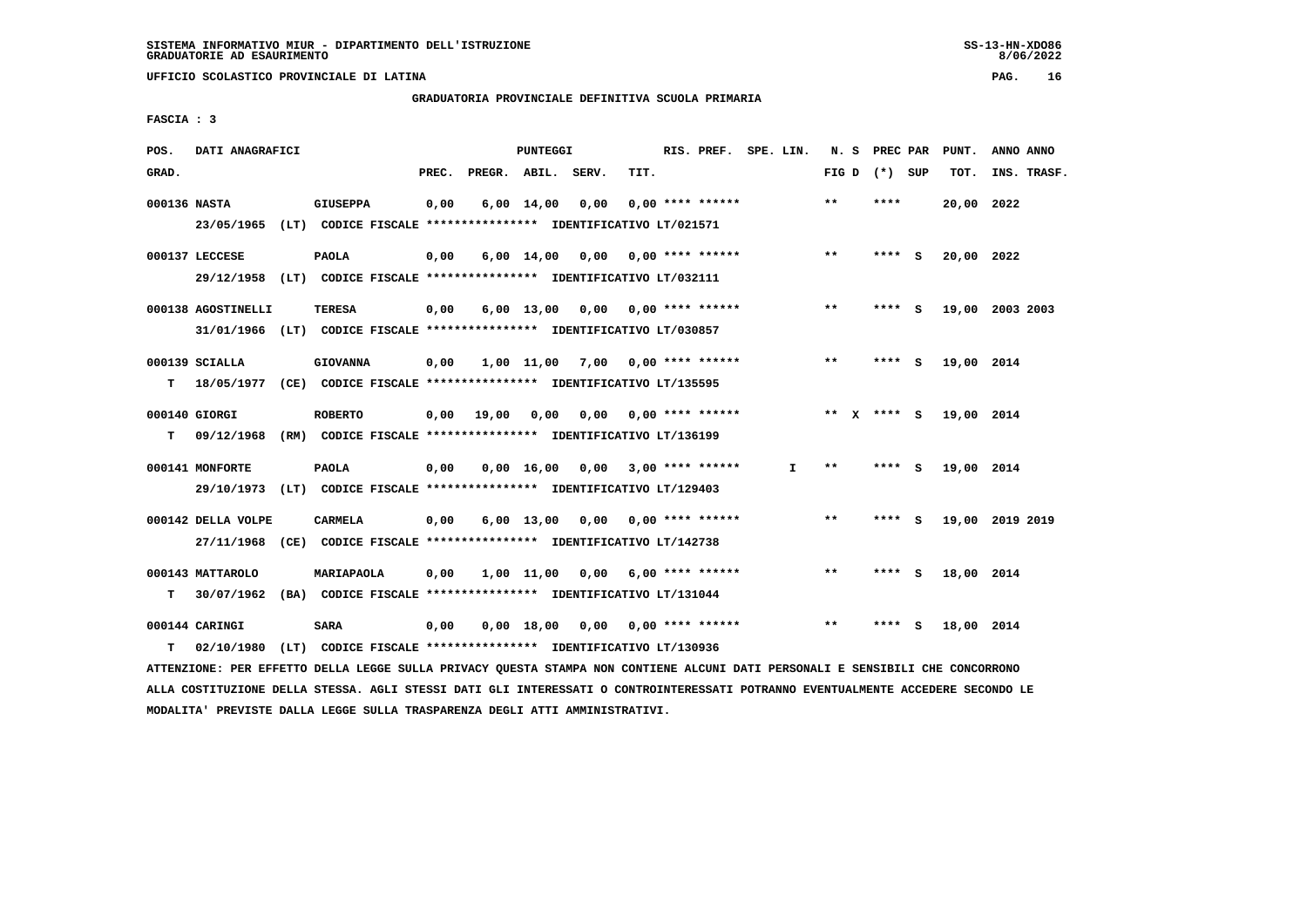# **GRADUATORIA PROVINCIALE DEFINITIVA SCUOLA PRIMARIA**

 **FASCIA : 3**

| POS.         | DATI ANAGRAFICI    |                                                                                                                               |       |       | PUNTEGGI |                                          |      | RIS. PREF. SPE. LIN. |              |                 | N. S PREC PAR | PUNT.      | ANNO ANNO       |  |
|--------------|--------------------|-------------------------------------------------------------------------------------------------------------------------------|-------|-------|----------|------------------------------------------|------|----------------------|--------------|-----------------|---------------|------------|-----------------|--|
| GRAD.        |                    |                                                                                                                               | PREC. |       |          | PREGR. ABIL. SERV.                       | TIT. |                      |              | FIG D $(*)$ SUP |               | тот.       | INS. TRASF.     |  |
| 000136 NASTA |                    | <b>GIUSEPPA</b>                                                                                                               | 0,00  |       |          | $6,00 \quad 14,00 \quad 0,00$            |      | $0.00$ **** ******   |              | $***$           | ****          | 20,00 2022 |                 |  |
|              |                    | 23/05/1965 (LT) CODICE FISCALE *************** IDENTIFICATIVO LT/021571                                                       |       |       |          |                                          |      |                      |              |                 |               |            |                 |  |
|              | 000137 LECCESE     | <b>PAOLA</b>                                                                                                                  | 0,00  |       |          | $6,00$ 14,00 0,00 0,00 **** ******       |      |                      |              | $**$            | **** S        | 20,00 2022 |                 |  |
|              |                    | 29/12/1958 (LT) CODICE FISCALE *************** IDENTIFICATIVO LT/032111                                                       |       |       |          |                                          |      |                      |              |                 |               |            |                 |  |
|              |                    |                                                                                                                               |       |       |          |                                          |      |                      |              |                 |               |            |                 |  |
|              | 000138 AGOSTINELLI | TERESA                                                                                                                        | 0,00  |       |          | 6,00 13,00 0,00 0,00 **** ******         |      |                      |              | $***$           | **** S        |            | 19,00 2003 2003 |  |
|              |                    | 31/01/1966 (LT) CODICE FISCALE *************** IDENTIFICATIVO LT/030857                                                       |       |       |          |                                          |      |                      |              |                 |               |            |                 |  |
|              | 000139 SCIALLA     | <b>GIOVANNA</b>                                                                                                               | 0,00  |       |          | $1,00$ $11,00$ $7,00$ $0,00$ **** ****** |      |                      |              | $***$           | $***$ S       | 19,00 2014 |                 |  |
| т            |                    | 18/05/1977 (CE) CODICE FISCALE **************** IDENTIFICATIVO LT/135595                                                      |       |       |          |                                          |      |                      |              |                 |               |            |                 |  |
|              | 000140 GIORGI      | <b>ROBERTO</b>                                                                                                                | 0,00  | 19,00 |          | 0,00 0,00 0,00 **** ******               |      |                      |              | ** X **** S     |               | 19,00 2014 |                 |  |
| т            |                    | 09/12/1968 (RM) CODICE FISCALE **************** IDENTIFICATIVO LT/136199                                                      |       |       |          |                                          |      |                      |              |                 |               |            |                 |  |
|              |                    |                                                                                                                               |       |       |          |                                          |      |                      |              |                 |               |            |                 |  |
|              | 000141 MONFORTE    | <b>PAOLA</b>                                                                                                                  | 0,00  |       |          | $0.00$ 16.00 0.00 3.00 **** ******       |      |                      | $\mathbf{I}$ | $***$           | $***$ S       | 19,00 2014 |                 |  |
|              | 29/10/1973         | (LT) CODICE FISCALE *************** IDENTIFICATIVO LT/129403                                                                  |       |       |          |                                          |      |                      |              |                 |               |            |                 |  |
|              | 000142 DELLA VOLPE | <b>CARMELA</b>                                                                                                                | 0,00  |       |          | $6,00$ 13,00 0,00 0,00 **** ******       |      |                      |              | $***$           | **** S        |            | 19,00 2019 2019 |  |
|              |                    | 27/11/1968 (CE) CODICE FISCALE *************** IDENTIFICATIVO LT/142738                                                       |       |       |          |                                          |      |                      |              |                 |               |            |                 |  |
|              |                    |                                                                                                                               |       |       |          |                                          |      |                      |              |                 |               |            |                 |  |
|              | 000143 MATTAROLO   | MARIAPAOLA                                                                                                                    | 0,00  |       |          | $1,00$ $11,00$ $0,00$ $6,00$ **** ****** |      |                      |              | $***$           | $***$ S       | 18,00 2014 |                 |  |
| т            |                    | 30/07/1962 (BA) CODICE FISCALE **************** IDENTIFICATIVO LT/131044                                                      |       |       |          |                                          |      |                      |              |                 |               |            |                 |  |
|              | 000144 CARINGI     | <b>SARA</b>                                                                                                                   | 0,00  |       |          | 0,00 18,00 0,00 0,00 **** ******         |      |                      |              | $* *$           | **** S        | 18,00 2014 |                 |  |
| т            | 02/10/1980         | (LT) CODICE FISCALE **************** IDENTIFICATIVO LT/130936                                                                 |       |       |          |                                          |      |                      |              |                 |               |            |                 |  |
|              |                    | ATTENZIONE: PER EFFETTO DELLA LEGGE SULLA PRIVACY QUESTA STAMPA NON CONTIENE ALCUNI DATI PERSONALI E SENSIBILI CHE CONCORRONO |       |       |          |                                          |      |                      |              |                 |               |            |                 |  |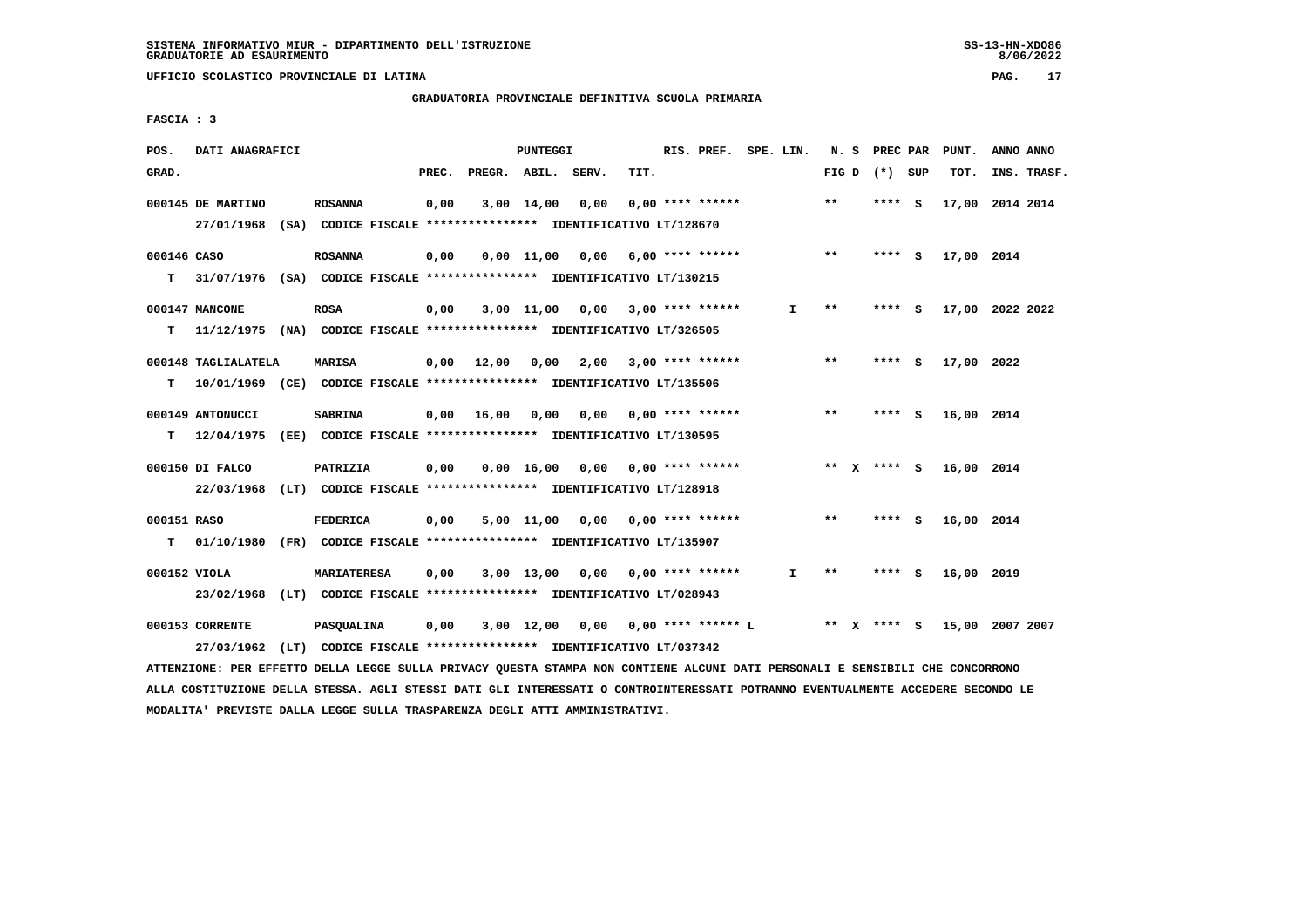# **GRADUATORIA PROVINCIALE DEFINITIVA SCUOLA PRIMARIA**

 **FASCIA : 3**

| POS.             | DATI ANAGRAFICI                                                                                |                    |       |              | <b>PUNTEGGI</b> |                                                                                                       |      | RIS. PREF. SPE. LIN.      |              |       | N. S PREC PAR   |     | PUNT.      | ANNO ANNO       |
|------------------|------------------------------------------------------------------------------------------------|--------------------|-------|--------------|-----------------|-------------------------------------------------------------------------------------------------------|------|---------------------------|--------------|-------|-----------------|-----|------------|-----------------|
| GRAD.            |                                                                                                |                    | PREC. |              |                 | PREGR. ABIL. SERV.                                                                                    | TIT. |                           |              |       | FIG D $(*)$ SUP |     | TOT.       | INS. TRASF.     |
|                  | 000145 DE MARTINO<br>27/01/1968                                                                | <b>ROSANNA</b>     | 0,00  |              | 3,00 14,00      | 0,00<br>(SA) CODICE FISCALE **************** IDENTIFICATIVO LT/128670                                 |      | $0.00$ **** ******        |              | $***$ | **** S          |     |            | 17,00 2014 2014 |
| 000146 CASO<br>т | 31/07/1976 (SA) CODICE FISCALE *************** IDENTIFICATIVO LT/130215                        | <b>ROSANNA</b>     | 0,00  |              |                 | $0,00$ 11,00 0,00 6,00 **** ******                                                                    |      |                           |              | $* *$ | **** S          |     | 17,00 2014 |                 |
| т                | 000147 MANCONE<br>11/12/1975 (NA) CODICE FISCALE *************** IDENTIFICATIVO LT/326505      | <b>ROSA</b>        | 0,00  |              |                 | $3,00$ 11,00 0,00 3,00 **** ******                                                                    |      |                           | I.           | $***$ | **** S          |     |            | 17,00 2022 2022 |
| T.               | 000148 TAGLIALATELA<br>10/01/1969 (CE) CODICE FISCALE *************** IDENTIFICATIVO LT/135506 | <b>MARISA</b>      | 0,00  | 12,00        | 0,00            | 2,00                                                                                                  |      | $3,00$ **** ******        |              | **    | **** S          |     | 17,00 2022 |                 |
| т                | 000149 ANTONUCCI<br>12/04/1975                                                                 | <b>SABRINA</b>     |       | $0,00$ 16,00 | 0,00            | 0.00                                                                                                  |      | $0.00$ **** ******        |              | $***$ | ****            | - S | 16,00 2014 |                 |
|                  | 000150 DI FALCO<br>22/03/1968 (LT) CODICE FISCALE *************** IDENTIFICATIVO LT/128918     | PATRIZIA           | 0,00  |              | 0.00 16.00      |                                                                                                       |      | $0,00$ $0,00$ **** ****** |              |       | ** x **** s     |     | 16,00 2014 |                 |
| 000151 RASO<br>т | 01/10/1980                                                                                     | <b>FEDERICA</b>    | 0,00  |              |                 | 5,00 11,00 0,00<br>(FR) CODICE FISCALE **************** IDENTIFICATIVO LT/135907                      |      | $0.00$ **** ******        |              | $***$ | ****            | - 5 | 16,00 2014 |                 |
| 000152 VIOLA     | 23/02/1968                                                                                     | <b>MARIATERESA</b> | 0,00  |              |                 | $3,00$ 13,00 0,00 0,00 **** ******<br>(LT) CODICE FISCALE *************** IDENTIFICATIVO LT/028943    |      |                           | $\mathbf{I}$ | $* *$ | **** S          |     | 16,00 2019 |                 |
|                  | 000153 CORRENTE<br>27/03/1962                                                                  | PASQUALINA         | 0,00  |              |                 | $3,00$ 12,00 0,00 0,00 **** ****** L<br>(LT) CODICE FISCALE **************** IDENTIFICATIVO LT/037342 |      |                           |              | ** X  | **** S          |     |            | 15,00 2007 2007 |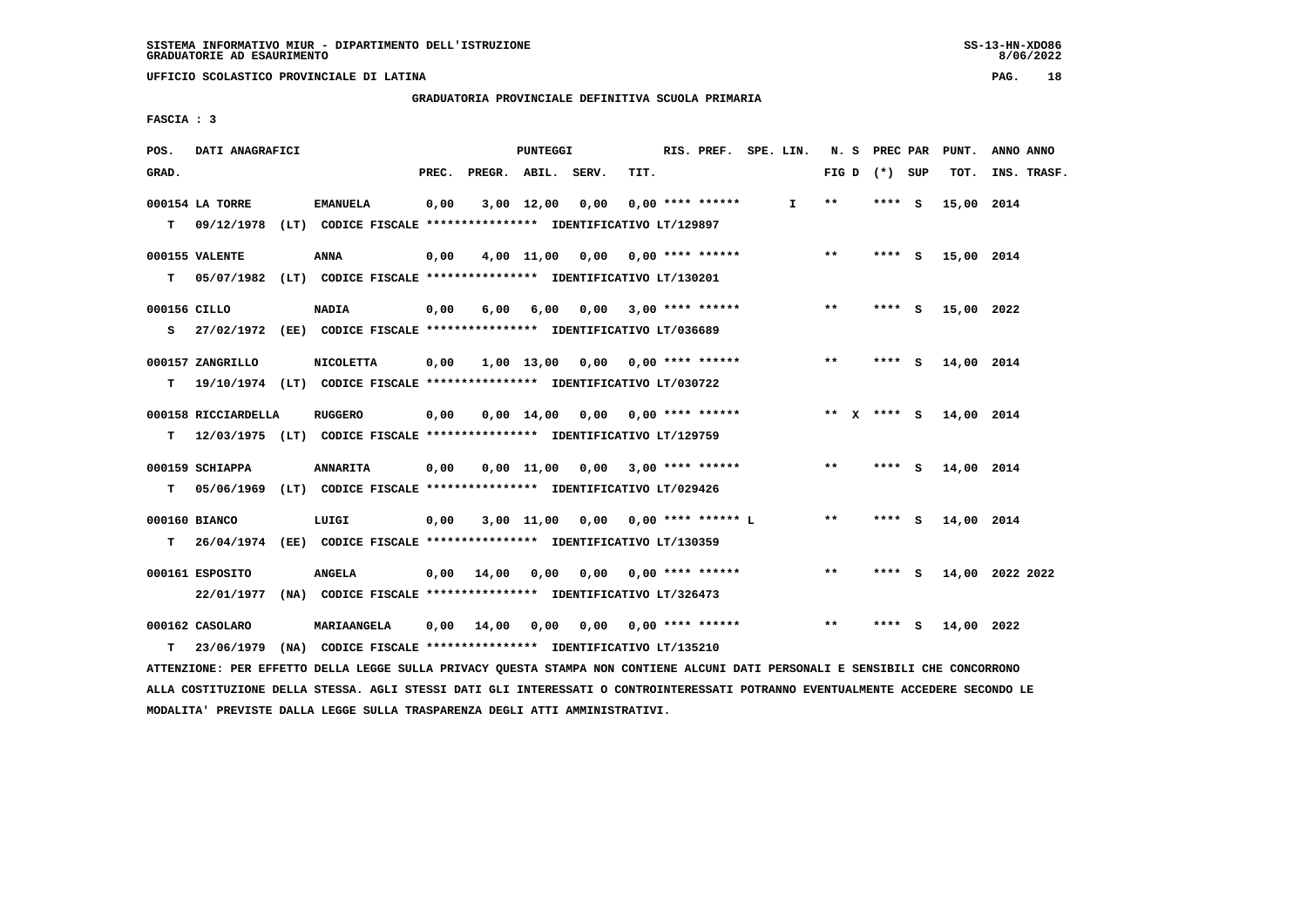**GRADUATORIA PROVINCIALE DEFINITIVA SCUOLA PRIMARIA**

 **FASCIA : 3**

| POS.         | DATI ANAGRAFICI     |                                                                                          |       |                    | PUNTEGGI   |                                      |      | RIS. PREF. SPE. LIN.      |              |                 | N. S PREC PAR |     | PUNT.      | ANNO ANNO       |
|--------------|---------------------|------------------------------------------------------------------------------------------|-------|--------------------|------------|--------------------------------------|------|---------------------------|--------------|-----------------|---------------|-----|------------|-----------------|
| GRAD.        |                     |                                                                                          | PREC. | PREGR. ABIL. SERV. |            |                                      | TIT. |                           |              | FIG D $(*)$ SUP |               |     | TOT.       | INS. TRASF.     |
|              | 000154 LA TORRE     | <b>EMANUELA</b>                                                                          | 0,00  |                    | 3,00 12,00 | 0,00                                 |      | $0.00$ **** ******        | $\mathbf{I}$ | $* *$           | **** S        |     | 15,00 2014 |                 |
|              |                     | T 09/12/1978 (LT) CODICE FISCALE *************** IDENTIFICATIVO LT/129897                |       |                    |            |                                      |      |                           |              |                 |               |     |            |                 |
|              | 000155 VALENTE      | <b>ANNA</b>                                                                              | 0,00  |                    |            | $4,00$ 11,00 0,00 0,00 **** ******   |      |                           |              | $***$           | **** S        |     | 15,00 2014 |                 |
| T.           |                     | 05/07/1982 (LT) CODICE FISCALE **************** IDENTIFICATIVO LT/130201                 |       |                    |            |                                      |      |                           |              |                 |               |     |            |                 |
| 000156 CILLO |                     | <b>NADIA</b>                                                                             | 0,00  | 6,00               | 6,00       |                                      |      | $0,00$ 3,00 **** ******   |              | **              | **** S        |     | 15,00 2022 |                 |
| s            |                     | 27/02/1972 (EE) CODICE FISCALE *************** IDENTIFICATIVO LT/036689                  |       |                    |            |                                      |      |                           |              |                 |               |     |            |                 |
|              | 000157 ZANGRILLO    | <b>NICOLETTA</b>                                                                         | 0,00  |                    |            | 1,00 13,00 0,00 0,00 **** ******     |      |                           |              | $* *$           | $***$ S       |     | 14,00 2014 |                 |
| T.           |                     | 19/10/1974 (LT) CODICE FISCALE **************** IDENTIFICATIVO LT/030722                 |       |                    |            |                                      |      |                           |              |                 |               |     |            |                 |
|              | 000158 RICCIARDELLA | RUGGERO                                                                                  | 0,00  |                    |            | $0,00$ 14,00 0,00 0,00 **** ******   |      |                           |              | ** x **** S     |               |     | 14,00 2014 |                 |
| T.           |                     | 12/03/1975 (LT) CODICE FISCALE **************** IDENTIFICATIVO LT/129759                 |       |                    |            |                                      |      |                           |              |                 |               |     |            |                 |
|              | 000159 SCHIAPPA     | <b>ANNARITA</b>                                                                          | 0,00  |                    |            | $0,00$ 11,00 0,00 3,00 **** ******   |      |                           |              | $* *$           | $***$ S       |     | 14,00 2014 |                 |
| т            |                     | 05/06/1969 (LT) CODICE FISCALE **************** IDENTIFICATIVO LT/029426                 |       |                    |            |                                      |      |                           |              |                 |               |     |            |                 |
|              | 000160 BIANCO       | LUIGI                                                                                    | 0,00  |                    |            | $3,00$ 11,00 0,00 0,00 **** ****** L |      |                           |              | **              | **** S        |     | 14,00 2014 |                 |
| т            |                     | 26/04/1974 (EE) CODICE FISCALE **************** IDENTIFICATIVO LT/130359                 |       |                    |            |                                      |      |                           |              |                 |               |     |            |                 |
|              |                     |                                                                                          |       |                    |            |                                      |      |                           |              | $* *$           |               |     |            |                 |
|              | 000161 ESPOSITO     | <b>ANGELA</b><br>22/01/1977 (NA) CODICE FISCALE *************** IDENTIFICATIVO LT/326473 |       | $0,00$ 14,00       | 0,00       |                                      |      | $0,00$ $0,00$ **** ****** |              |                 | **** S        |     |            | 14,00 2022 2022 |
|              |                     |                                                                                          |       |                    |            |                                      |      |                           |              |                 |               |     |            |                 |
|              | 000162 CASOLARO     | <b>MARIAANGELA</b>                                                                       |       | $0,00$ 14,00       | 0,00       | 0,00                                 |      | 0,00 **** ******          |              | $* *$           | ****          | - S | 14,00 2022 |                 |
| T.           |                     | 23/06/1979 (NA) CODICE FISCALE **************** IDENTIFICATIVO LT/135210                 |       |                    |            |                                      |      |                           |              |                 |               |     |            |                 |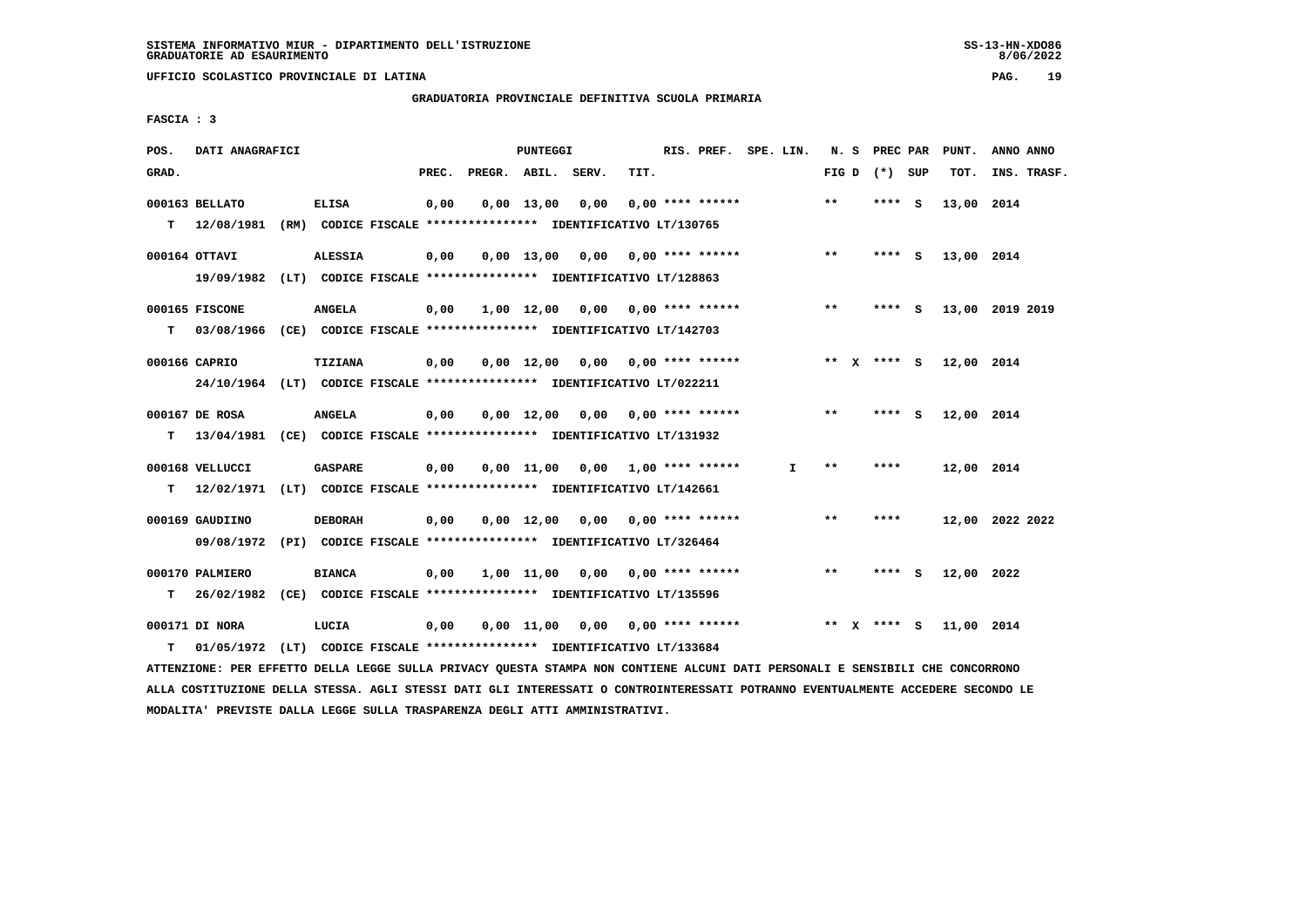$8/06/2022$ 

 **UFFICIO SCOLASTICO PROVINCIALE DI LATINA PAG. 19**

 **GRADUATORIA PROVINCIALE DEFINITIVA SCUOLA PRIMARIA**

 **FASCIA : 3**

| POS.  | DATI ANAGRAFICI                                                                                                               |                                                               |      | PUNTEGGI |                                                |      | RIS. PREF. SPE. LIN. |    |       |                     | N. S PREC PAR PUNT. | ANNO ANNO       |
|-------|-------------------------------------------------------------------------------------------------------------------------------|---------------------------------------------------------------|------|----------|------------------------------------------------|------|----------------------|----|-------|---------------------|---------------------|-----------------|
| GRAD. |                                                                                                                               |                                                               |      |          | PREC. PREGR. ABIL. SERV.                       | TIT. |                      |    |       | FIG D $(*)$ SUP     | TOT.                | INS. TRASF.     |
|       | 000163 BELLATO                                                                                                                | <b>ELISA</b>                                                  | 0,00 |          | $0,00$ 13,00 0,00                              |      | $0.00$ **** ******   |    | $***$ | **** S              | 13,00 2014          |                 |
|       | T 12/08/1981 (RM) CODICE FISCALE *************** IDENTIFICATIVO LT/130765                                                     |                                                               |      |          |                                                |      |                      |    |       |                     |                     |                 |
|       |                                                                                                                               |                                                               |      |          |                                                |      |                      |    |       |                     |                     |                 |
|       | 000164 OTTAVI                                                                                                                 | <b>ALESSIA</b>                                                | 0,00 |          | $0,00$ 13,00 0,00 0,00 **** ******             |      |                      |    | $***$ | **** S              | 13,00 2014          |                 |
|       | 19/09/1982 (LT) CODICE FISCALE *************** IDENTIFICATIVO LT/128863                                                       |                                                               |      |          |                                                |      |                      |    |       |                     |                     |                 |
|       | 000165 FISCONE                                                                                                                | <b>ANGELA</b>                                                 | 0,00 |          | $1,00$ $12,00$ $0,00$ $0,00$ $***$ **** ****** |      |                      |    | $* *$ | $***$ S             |                     | 13,00 2019 2019 |
|       | T 03/08/1966 (CE) CODICE FISCALE *************** IDENTIFICATIVO LT/142703                                                     |                                                               |      |          |                                                |      |                      |    |       |                     |                     |                 |
|       | 000166 CAPRIO                                                                                                                 | <b>TIZIANA</b>                                                | 0,00 |          | $0,00$ 12,00 0,00 0,00 **** ******             |      |                      |    |       | $***$ $X$ $***$ $S$ | 12,00 2014          |                 |
|       | 24/10/1964 (LT) CODICE FISCALE *************** IDENTIFICATIVO LT/022211                                                       |                                                               |      |          |                                                |      |                      |    |       |                     |                     |                 |
|       |                                                                                                                               |                                                               |      |          |                                                |      |                      |    |       |                     |                     |                 |
|       | 000167 DE ROSA                                                                                                                | <b>ANGELA</b>                                                 | 0,00 |          | $0,00$ 12,00 0,00 0,00 **** ******             |      |                      |    | $***$ | **** S              | 12,00 2014          |                 |
|       | T 13/04/1981 (CE) CODICE FISCALE *************** IDENTIFICATIVO LT/131932                                                     |                                                               |      |          |                                                |      |                      |    |       |                     |                     |                 |
|       | 000168 VELLUCCI                                                                                                               | <b>GASPARE</b>                                                | 0,00 |          | $0.00$ 11.00 $0.00$ 1.00 **** ******           |      |                      | I. | **    | ****                | 12,00 2014          |                 |
|       | T 12/02/1971 (LT) CODICE FISCALE *************** IDENTIFICATIVO LT/142661                                                     |                                                               |      |          |                                                |      |                      |    |       |                     |                     |                 |
|       |                                                                                                                               |                                                               |      |          |                                                |      |                      |    |       |                     |                     |                 |
|       | 000169 GAUDIINO                                                                                                               | <b>DEBORAH</b>                                                | 0,00 |          | $0,00$ 12,00 0,00 0,00 **** ******             |      |                      |    | $* *$ | ****                |                     | 12,00 2022 2022 |
|       | 09/08/1972 (PI) CODICE FISCALE *************** IDENTIFICATIVO LT/326464                                                       |                                                               |      |          |                                                |      |                      |    |       |                     |                     |                 |
|       | 000170 PALMIERO                                                                                                               | <b>BIANCA</b>                                                 | 0,00 |          | $1,00$ $11,00$ $0,00$ $0,00$ **** ******       |      |                      |    | $* *$ | **** S              | 12,00 2022          |                 |
|       | T 26/02/1982 (CE) CODICE FISCALE *************** IDENTIFICATIVO LT/135596                                                     |                                                               |      |          |                                                |      |                      |    |       |                     |                     |                 |
|       | 000171 DI NORA                                                                                                                | LUCIA                                                         | 0,00 |          | $0.00$ 11.00 0.00 0.00 **** ******             |      |                      |    |       | ** x **** S         | 11,00 2014          |                 |
| т     | 01/05/1972                                                                                                                    | (LT) CODICE FISCALE **************** IDENTIFICATIVO LT/133684 |      |          |                                                |      |                      |    |       |                     |                     |                 |
|       | ATTENZIONE: PER EFFETTO DELLA LEGGE SULLA PRIVACY QUESTA STAMPA NON CONTIENE ALCUNI DATI PERSONALI E SENSIBILI CHE CONCORRONO |                                                               |      |          |                                                |      |                      |    |       |                     |                     |                 |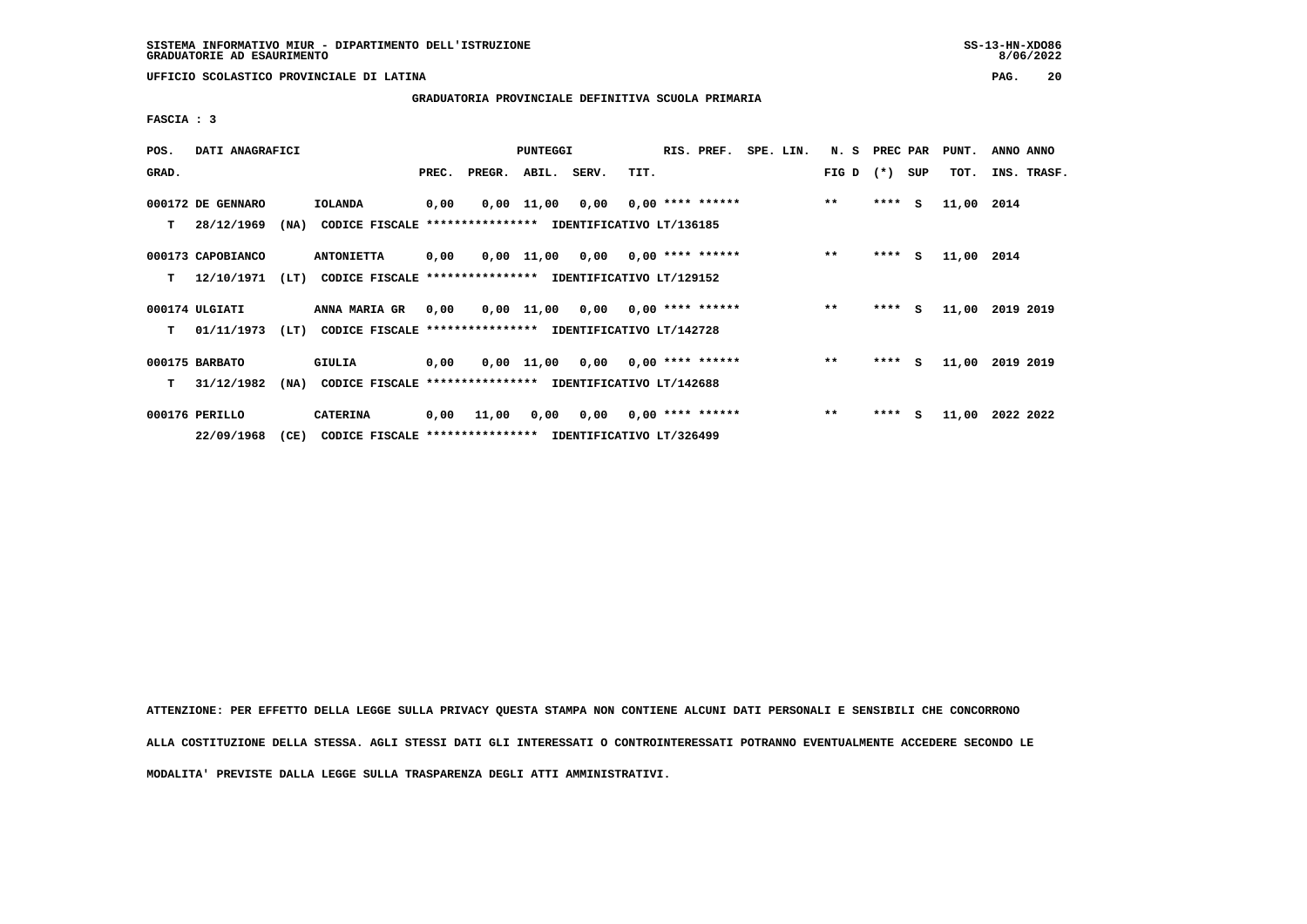$8/06/2022$ 

 **UFFICIO SCOLASTICO PROVINCIALE DI LATINA PAG. 20**

 **GRADUATORIA PROVINCIALE DEFINITIVA SCUOLA PRIMARIA**

 **FASCIA : 3**

| POS.  | DATI ANAGRAFICI   |      |                                                          |       |                                           | PUNTEGGI |                                    |      | RIS. PREF.                | SPE. LIN. | N. S PREC PAR |         |     | PUNT.      | ANNO ANNO |             |
|-------|-------------------|------|----------------------------------------------------------|-------|-------------------------------------------|----------|------------------------------------|------|---------------------------|-----------|---------------|---------|-----|------------|-----------|-------------|
| GRAD. |                   |      |                                                          | PREC. | PREGR. ABIL. SERV.                        |          |                                    | TIT. |                           |           | FIG D $(*)$   |         | SUP | TOT.       |           | INS. TRASF. |
|       | 000172 DE GENNARO |      | <b>IOLANDA</b>                                           | 0,00  |                                           |          | $0,00$ 11,00 0,00 0,00 **** ****** |      |                           |           | $* *$         | $***$ S |     | 11,00 2014 |           |             |
| T.    | 28/12/1969        | (NA) | CODICE FISCALE                                           |       | **************** IDENTIFICATIVO LT/136185 |          |                                    |      |                           |           |               |         |     |            |           |             |
|       | 000173 CAPOBIANCO |      | <b>ANTONIETTA</b>                                        | 0,00  |                                           |          | $0,00$ 11,00 0,00 0,00 **** ****** |      |                           |           | $***$         | $***$ S |     | 11,00 2014 |           |             |
| т     | 12/10/1971        | (LT) | CODICE FISCALE **************** IDENTIFICATIVO LT/129152 |       |                                           |          |                                    |      |                           |           |               |         |     |            |           |             |
|       | 000174 ULGIATI    |      | ANNA MARIA GR                                            | 0,00  |                                           |          | $0,00$ 11,00 0,00 0,00 **** ****** |      |                           |           | $***$         | $***$ S |     | 11,00      | 2019 2019 |             |
| T.    | 01/11/1973        | (LT) | CODICE FISCALE **************** IDENTIFICATIVO LT/142728 |       |                                           |          |                                    |      |                           |           |               |         |     |            |           |             |
|       | 000175 BARBATO    |      | GIULIA                                                   | 0,00  |                                           |          | $0,00$ 11,00 0,00 0,00 **** ****** |      |                           |           | $***$         | $***$ S |     | 11,00      | 2019 2019 |             |
| т     | 31/12/1982        | (NA) | CODICE FISCALE **************** IDENTIFICATIVO LT/142688 |       |                                           |          |                                    |      |                           |           |               |         |     |            |           |             |
|       | 000176 PERILLO    |      | <b>CATERINA</b>                                          | 0,00  | 11,00                                     | 0,00     |                                    |      | $0,00$ $0,00$ **** ****** |           | $***$         | **** S  |     | 11,00      | 2022 2022 |             |
|       | 22/09/1968        | (CE) | CODICE FISCALE **************** IDENTIFICATIVO LT/326499 |       |                                           |          |                                    |      |                           |           |               |         |     |            |           |             |